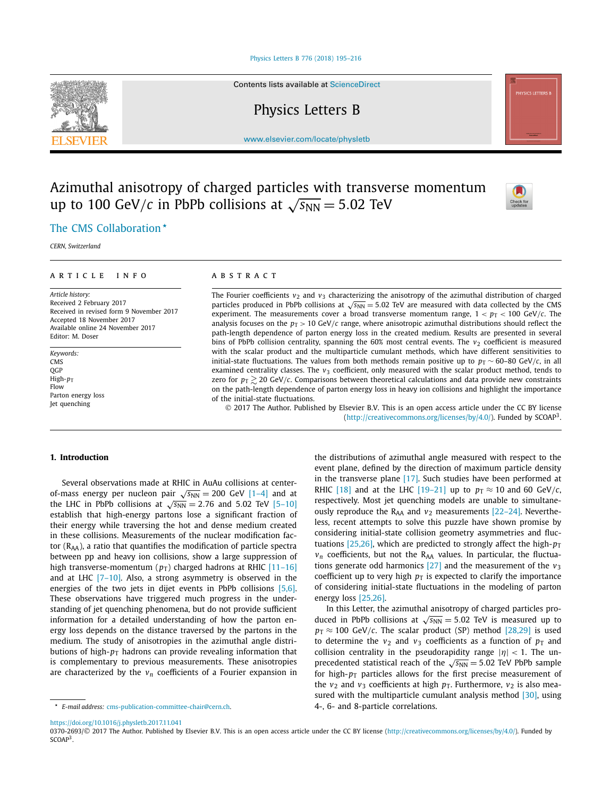#### [Physics Letters B 776 \(2018\) 195–216](https://doi.org/10.1016/j.physletb.2017.11.041)



Contents lists available at [ScienceDirect](http://www.ScienceDirect.com/)

Physics Letters B

[www.elsevier.com/locate/physletb](http://www.elsevier.com/locate/physletb)



# Azimuthal anisotropy of charged particles with transverse momentum up to 100 GeV/*c* in PbPb collisions at  $\sqrt{s_{NN}} = 5.02$  TeV



# .The CMS [Collaboration](#page-6-0) *-*

*CERN, Switzerland*

#### A R T I C L E I N F O A B S T R A C T

*Article history:* Received 2 February 2017 Received in revised form 9 November 2017 Accepted 18 November 2017 Available online 24 November 2017 Editor: M. Doser

*Keywords:* CMS  $OGP$ High- $p_T$ Flow Parton energy loss Jet quenching

The Fourier coefficients  $v_2$  and  $v_3$  characterizing the anisotropy of the azimuthal distribution of charged particles produced in PbPb collisions at  $\sqrt{s_{NN}}$  = 5.02 TeV are measured with data collected by the CMS experiment. The measurements cover a broad transverse momentum range,  $1 < p<sub>T</sub> < 100$  GeV/*c*. The analysis focuses on the  $p_T > 10$  GeV/*c* range, where anisotropic azimuthal distributions should reflect the path-length dependence of parton energy loss in the created medium. Results are presented in several bins of PbPb collision centrality, spanning the  $60\%$  most central events. The  $v_2$  coefficient is measured with the scalar product and the multiparticle cumulant methods, which have different sensitivities to initial-state fluctuations. The values from both methods remain positive up to  $p_T \sim 60-80$  GeV/*c*, in all examined centrality classes. The *v*<sub>3</sub> coefficient, only measured with the scalar product method, tends to zero for  $p_{\rm T}$   $\gtrsim$  20 GeV/ $c$ . Comparisons between theoretical calculations and data provide new constraints on the path-length dependence of parton energy loss in heavy ion collisions and highlight the importance of the initial-state fluctuations.

© 2017 The Author. Published by Elsevier B.V. This is an open access article under the CC BY license [\(http://creativecommons.org/licenses/by/4.0/\)](http://creativecommons.org/licenses/by/4.0/). Funded by SCOAP3.

#### **1. Introduction**

Several observations made at RHIC in AuAu collisions at centerof-mass energy per nucleon pair  $\sqrt{s_{NN}} = 200$  GeV [\[1–4\]](#page-4-0) and at the LHC in PbPb collisions at  $\sqrt{s_{NN}}$  = 2.76 and 5.02 TeV [\[5–10\]](#page-5-0) establish that high-energy partons lose a significant fraction of their energy while traversing the hot and dense medium created in these collisions. Measurements of the nuclear modification factor  $(R_{AA})$ , a ratio that quantifies the modification of particle spectra between pp and heavy ion collisions, show a large suppression of high transverse-momentum  $(p_T)$  charged hadrons at RHIC [\[11–16\]](#page-5-0) and at LHC  $[7-10]$ . Also, a strong asymmetry is observed in the energies of the two jets in dijet events in PbPb collisions [\[5,6\].](#page-5-0) These observations have triggered much progress in the understanding of jet quenching phenomena, but do not provide sufficient information for a detailed understanding of how the parton energy loss depends on the distance traversed by the partons in the medium. The study of anisotropies in the azimuthal angle distributions of high- $p<sub>T</sub>$  hadrons can provide revealing information that is complementary to previous measurements. These anisotropies are characterized by the  $v_n$  coefficients of a Fourier expansion in the distributions of azimuthal angle measured with respect to the event plane, defined by the direction of maximum particle density in the transverse plane  $[17]$ . Such studies have been performed at RHIC [\[18\]](#page-5-0) and at the LHC [\[19–21\]](#page-5-0) up to  $p_T \approx 10$  and 60 GeV/*c*, respectively. Most jet quenching models are unable to simultaneously reproduce the  $R_{AA}$  and  $v_2$  measurements  $[22-24]$ . Nevertheless, recent attempts to solve this puzzle have shown promise by considering initial-state collision geometry asymmetries and fluc-tuations [\[25,26\],](#page-5-0) which are predicted to strongly affect the high- $p<sub>T</sub>$  $v_n$  coefficients, but not the  $R_{AA}$  values. In particular, the fluctuations generate odd harmonics  $[27]$  and the measurement of the  $v_3$ coefficient up to very high  $p_T$  is expected to clarify the importance of considering initial-state fluctuations in the modeling of parton energy loss [\[25,26\].](#page-5-0)

In this Letter, the azimuthal anisotropy of charged particles produced in PbPb collisions at  $\sqrt{s_{NN}}$  = 5.02 TeV is measured up to  $p_T \approx 100$  GeV/*c*. The scalar product (SP) method [\[28,29\]](#page-5-0) is used to determine the  $v_2$  and  $v_3$  coefficients as a function of  $p_T$  and collision centrality in the pseudorapidity range |*η*| *<* 1. The unprecedented statistical reach of the  $\sqrt{s_{NN}} = 5.02$  TeV PbPb sample for high- $p_T$  particles allows for the first precise measurement of the  $v_2$  and  $v_3$  coefficients at high  $p_T$ . Furthermore,  $v_2$  is also mea-sured with the multiparticle cumulant analysis method [\[30\],](#page-5-0) using 4-, 6- and 8-particle correlations.

*<sup>-</sup> E-mail address:* [cms-publication-committee-chair@cern.ch](mailto:cms-publication-committee-chair@cern.ch).

<https://doi.org/10.1016/j.physletb.2017.11.041>

<sup>0370-2693/© 2017</sup> The Author. Published by Elsevier B.V. This is an open access article under the CC BY license [\(http://creativecommons.org/licenses/by/4.0/](http://creativecommons.org/licenses/by/4.0/)). Funded by SCOAP<sup>3</sup>.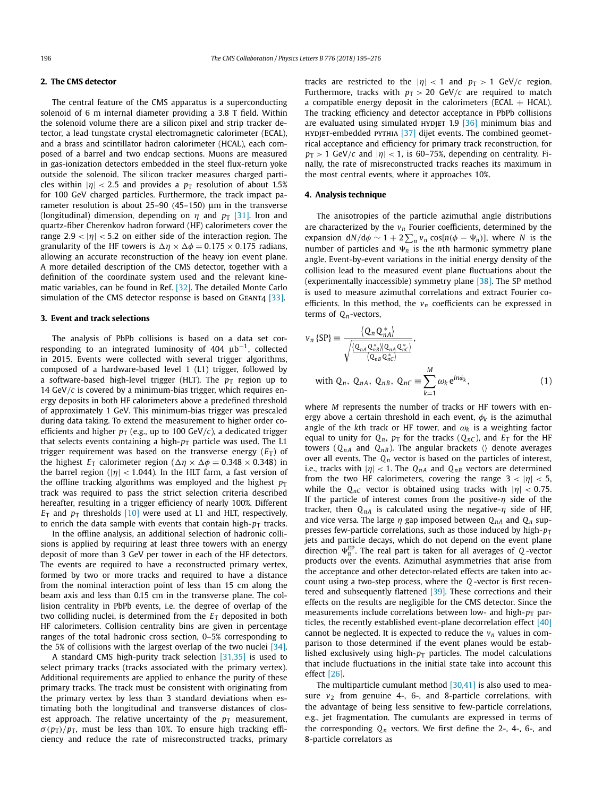#### **2. The CMS detector**

The central feature of the CMS apparatus is a superconducting solenoid of 6 m internal diameter providing a 3.8 T field. Within the solenoid volume there are a silicon pixel and strip tracker detector, a lead tungstate crystal electromagnetic calorimeter (ECAL), and a brass and scintillator hadron calorimeter (HCAL), each composed of a barrel and two endcap sections. Muons are measured in gas-ionization detectors embedded in the steel flux-return yoke outside the solenoid. The silicon tracker measures charged particles within  $|\eta| < 2.5$  and provides a  $p<sub>T</sub>$  resolution of about 1.5% for 100 GeV charged particles. Furthermore, the track impact parameter resolution is about 25–90 *(*45–150*)* μm in the transverse (longitudinal) dimension, depending on  $\eta$  and  $p_T$  [\[31\].](#page-5-0) Iron and quartz-fiber Cherenkov hadron forward (HF) calorimeters cover the range  $2.9 < |\eta| < 5.2$  on either side of the interaction region. The granularity of the HF towers is  $\Delta \eta \times \Delta \phi = 0.175 \times 0.175$  radians, allowing an accurate reconstruction of the heavy ion event plane. A more detailed description of the CMS detector, together with a definition of the coordinate system used and the relevant kinematic variables, can be found in Ref. [\[32\].](#page-5-0) The detailed Monte Carlo simulation of the CMS detector response is based on GEANT4 [\[33\].](#page-5-0)

#### **3. Event and track selections**

The analysis of PbPb collisions is based on a data set corresponding to an integrated luminosity of 404  $\mu$ b<sup>-1</sup>, collected in 2015. Events were collected with several trigger algorithms, composed of a hardware-based level 1 (L1) trigger, followed by a software-based high-level trigger (HLT). The  $p_T$  region up to 14 GeV*/c* is covered by a minimum-bias trigger, which requires energy deposits in both HF calorimeters above a predefined threshold of approximately 1 GeV. This minimum-bias trigger was prescaled during data taking. To extend the measurement to higher order coefficients and higher  $p_T$  (e.g., up to 100 GeV/*c*), a dedicated trigger that selects events containing a high- $p<sub>T</sub>$  particle was used. The L1 trigger requirement was based on the transverse energy  $(E_T)$  of the highest  $E_T$  calorimeter region ( $\Delta \eta \times \Delta \phi = 0.348 \times 0.348$ ) in the barrel region ( $|\eta|$  < 1.044). In the HLT farm, a fast version of the offline tracking algorithms was employed and the highest  $p_T$ track was required to pass the strict selection criteria described hereafter, resulting in a trigger efficiency of nearly 100%. Different  $E_T$  and  $p_T$  thresholds [\[10\]](#page-5-0) were used at L1 and HLT, respectively, to enrich the data sample with events that contain high- $p<sub>T</sub>$  tracks.

In the offline analysis, an additional selection of hadronic collisions is applied by requiring at least three towers with an energy deposit of more than 3 GeV per tower in each of the HF detectors. The events are required to have a reconstructed primary vertex, formed by two or more tracks and required to have a distance from the nominal interaction point of less than 15 cm along the beam axis and less than 0.15 cm in the transverse plane. The collision centrality in PbPb events, i.e. the degree of overlap of the two colliding nuclei, is determined from the  $E<sub>T</sub>$  deposited in both HF calorimeters. Collision centrality bins are given in percentage ranges of the total hadronic cross section, 0–5% corresponding to the 5% of collisions with the largest overlap of the two nuclei [\[34\].](#page-5-0)

A standard CMS high-purity track selection [\[31,35\]](#page-5-0) is used to select primary tracks (tracks associated with the primary vertex). Additional requirements are applied to enhance the purity of these primary tracks. The track must be consistent with originating from the primary vertex by less than 3 standard deviations when estimating both the longitudinal and transverse distances of closest approach. The relative uncertainty of the  $p_T$  measurement,  $\sigma(p_T)/p_T$ , must be less than 10%. To ensure high tracking efficiency and reduce the rate of misreconstructed tracks, primary tracks are restricted to the  $|\eta| < 1$  and  $p_T > 1$  GeV/*c* region. Furthermore, tracks with  $p_T > 20$  GeV/ $c$  are required to match a compatible energy deposit in the calorimeters (ECAL  $+$  HCAL). The tracking efficiency and detector acceptance in PbPb collisions are evaluated using simulated  $HYD$  and  $[36]$  minimum bias and HYDJET-embedded PYTHIA [\[37\]](#page-5-0) dijet events. The combined geometrical acceptance and efficiency for primary track reconstruction, for  $p_T > 1$  GeV/*c* and  $|\eta| < 1$ , is 60–75%, depending on centrality. Finally, the rate of misreconstructed tracks reaches its maximum in the most central events, where it approaches 10%.

#### **4. Analysis technique**

The anisotropies of the particle azimuthal angle distributions are characterized by the  $v_n$  Fourier coefficients, determined by the expansion  $dN/d\phi \sim 1 + 2\sum_{n} v_n \cos[n(\phi - \Psi_n)]$ , where *N* is the number of particles and  $\Psi_n$  is the *n*th harmonic symmetry plane angle. Event-by-event variations in the initial energy density of the collision lead to the measured event plane fluctuations about the (experimentally inaccessible) symmetry plane [\[38\].](#page-5-0) The SP method is used to measure azimuthal correlations and extract Fourier coefficients. In this method, the  $v_n$  coefficients can be expressed in terms of *Qn*-vectors,

$$
v_n \{SP\} \equiv \frac{\langle Q_n Q_{nA}^* \rangle}{\sqrt{\frac{\langle Q_{nA} Q_{nB}^* \rangle \langle Q_{nA} Q_{nC}^* \rangle}{\langle Q_{nB} Q_{nC}^* \rangle}}},
$$
\nwith  $Q_n$ ,  $Q_{nA}$ ,  $Q_{nB}$ ,  $Q_{nC} \equiv \sum_{k=1}^M \omega_k e^{in\phi_k}$ , (1)

where *M* represents the number of tracks or HF towers with energy above a certain threshold in each event, *φ<sup>k</sup>* is the azimuthal angle of the *k*th track or HF tower, and *ω<sup>k</sup>* is a weighting factor equal to unity for  $Q_n$ ,  $p_T$  for the tracks ( $Q_{nC}$ ), and  $E_T$  for the HF towers ( $Q_{nA}$  and  $Q_{nB}$ ). The angular brackets  $\langle \rangle$  denote averages over all events. The  $Q_n$  vector is based on the particles of interest, i.e., tracks with  $|\eta|$  < 1. The  $Q_{nA}$  and  $Q_{nB}$  vectors are determined from the two HF calorimeters, covering the range  $3 < |\eta| < 5$ , while the  $Q_{nC}$  vector is obtained using tracks with  $|\eta| < 0.75$ . If the particle of interest comes from the positive-*η* side of the tracker, then *QnA* is calculated using the negative-*η* side of HF, and vice versa. The large *η* gap imposed between *QnA* and *Qn* suppresses few-particle correlations, such as those induced by high- $p<sub>T</sub>$ jets and particle decays, which do not depend on the event plane direction  $\Psi_n^{EP}$ . The real part is taken for all averages of *Q*-vector products over the events. Azimuthal asymmetries that arise from the acceptance and other detector-related effects are taken into account using a two-step process, where the *Q* -vector is first recentered and subsequently flattened [\[39\].](#page-5-0) These corrections and their effects on the results are negligible for the CMS detector. Since the measurements include correlations between low- and high- $p<sub>T</sub>$  particles, the recently established event-plane decorrelation effect [\[40\]](#page-5-0) cannot be neglected. It is expected to reduce the  $v_n$  values in comparison to those determined if the event planes would be established exclusively using high- $p<sub>T</sub>$  particles. The model calculations that include fluctuations in the initial state take into account this effect [\[26\].](#page-5-0)

The multiparticle cumulant method  $[30,41]$  is also used to measure  $v_2$  from genuine 4-, 6-, and 8-particle correlations, with the advantage of being less sensitive to few-particle correlations, e.g., jet fragmentation. The cumulants are expressed in terms of the corresponding *Qn* vectors. We first define the 2-, 4-, 6-, and 8-particle correlators as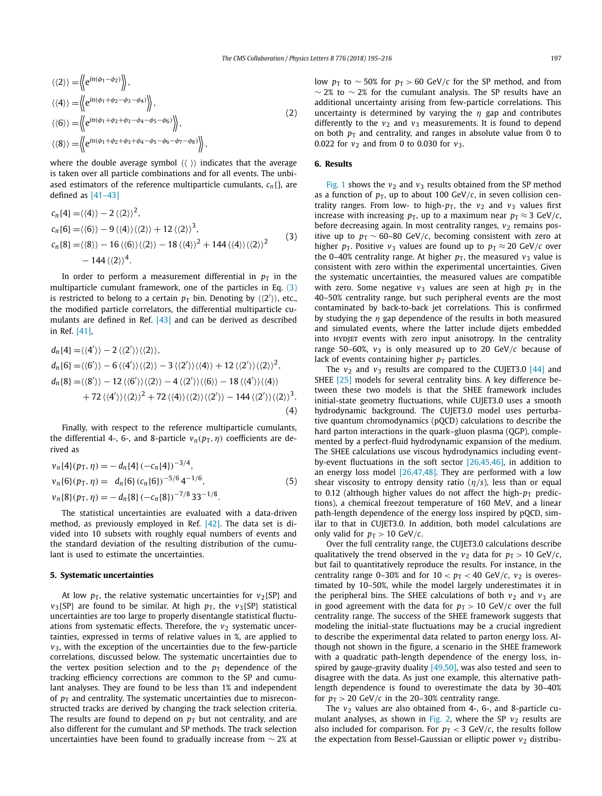$$
\langle \langle 2 \rangle \rangle = \langle \langle e^{in(\phi_1 - \phi_2)} \rangle \rangle,
$$
  
\n
$$
\langle \langle 4 \rangle \rangle = \langle \langle e^{in(\phi_1 + \phi_2 - \phi_3 - \phi_4)} \rangle \rangle,
$$
  
\n
$$
\langle \langle 6 \rangle \rangle = \langle \langle e^{in(\phi_1 + \phi_2 + \phi_3 - \phi_4 - \phi_5 - \phi_6)} \rangle \rangle,
$$
  
\n
$$
\langle \langle 8 \rangle \rangle = \langle \langle e^{in(\phi_1 + \phi_2 + \phi_3 + \phi_4 - \phi_5 - \phi_6 - \phi_7 - \phi_8)} \rangle \rangle,
$$
\n(2)

where the double average symbol  $\langle \langle \rangle \rangle$  indicates that the average is taken over all particle combinations and for all events. The unbiased estimators of the reference multiparticle cumulants,  $c_n$  {}, are defined as [\[41–43\]](#page-5-0)

$$
c_n{4} = \langle \langle 4 \rangle \rangle - 2 \langle \langle 2 \rangle \rangle^2,
$$
  
\n
$$
c_n{6} = \langle \langle 6 \rangle \rangle - 9 \langle \langle 4 \rangle \rangle \langle \langle 2 \rangle \rangle + 12 \langle \langle 2 \rangle \rangle^3,
$$
  
\n
$$
c_n{8} = \langle \langle 8 \rangle \rangle - 16 \langle \langle 6 \rangle \rangle \langle \langle 2 \rangle \rangle - 18 \langle \langle 4 \rangle \rangle^2 + 144 \langle \langle 4 \rangle \rangle \langle \langle 2 \rangle \rangle^2
$$
  
\n
$$
- 144 \langle \langle 2 \rangle \rangle^4.
$$
\n(3)

In order to perform a measurement differential in  $p<sub>T</sub>$  in the multiparticle cumulant framework, one of the particles in Eq. (3) is restricted to belong to a certain  $p<sub>T</sub>$  bin. Denoting by  $\langle\langle 2'\rangle\rangle$ , etc., the modified particle correlators, the differential multiparticle cumulants are defined in Ref. [\[43\]](#page-5-0) and can be derived as described in Ref. [\[41\],](#page-5-0)

$$
d_n\{4\} = \langle \langle 4' \rangle \rangle - 2 \langle \langle 2' \rangle \rangle \langle \langle 2 \rangle \rangle,
$$
  
\n
$$
d_n\{6\} = \langle \langle 6' \rangle \rangle - 6 \langle \langle 4' \rangle \rangle \langle \langle 2 \rangle \rangle - 3 \langle \langle 2' \rangle \rangle \langle \langle 4 \rangle \rangle + 12 \langle \langle 2' \rangle \rangle \langle \langle 2 \rangle \rangle^2,
$$
  
\n
$$
d_n\{8\} = \langle \langle 8' \rangle \rangle - 12 \langle \langle 6' \rangle \rangle \langle \langle 2 \rangle \rangle - 4 \langle \langle 2' \rangle \rangle \langle \langle 6 \rangle \rangle - 18 \langle \langle 4' \rangle \rangle \langle \langle 4 \rangle \rangle
$$
  
\n
$$
+ 72 \langle \langle 4' \rangle \rangle \langle \langle 2 \rangle \rangle^2 + 72 \langle \langle 4 \rangle \rangle \langle \langle 2 \rangle \rangle \langle \langle 2' \rangle \rangle - 144 \langle \langle 2' \rangle \rangle \langle \langle 2 \rangle \rangle^3.
$$
  
\n(4)

Finally, with respect to the reference multiparticle cumulants, the differential 4-, 6-, and 8-particle  $v_n(p_T, \eta)$  coefficients are derived as

$$
v_n\{4\}(p_T, \eta) = -d_n\{4\} (-c_n\{4\})^{-3/4},
$$
  
\n
$$
v_n\{6\}(p_T, \eta) = d_n\{6\} (c_n\{6\})^{-5/6} 4^{-1/6},
$$
  
\n
$$
v_n\{8\}(p_T, \eta) = -d_n\{8\} (-c_n\{8\})^{-7/8} 33^{-1/8}.
$$
\n(5)

The statistical uncertainties are evaluated with a data-driven method, as previously employed in Ref. [\[42\].](#page-5-0) The data set is divided into 10 subsets with roughly equal numbers of events and the standard deviation of the resulting distribution of the cumulant is used to estimate the uncertainties.

#### **5. Systematic uncertainties**

At low  $p_T$ , the relative systematic uncertainties for  $v_2$ {SP} and  $v_3$ {SP} are found to be similar. At high  $p_T$ , the  $v_3$ {SP} statistical uncertainties are too large to properly disentangle statistical fluctuations from systematic effects. Therefore, the  $v_2$  systematic uncertainties, expressed in terms of relative values in %, are applied to *v*3, with the exception of the uncertainties due to the few-particle correlations, discussed below. The systematic uncertainties due to the vertex position selection and to the  $p<sub>T</sub>$  dependence of the tracking efficiency corrections are common to the SP and cumulant analyses. They are found to be less than 1% and independent of  $p<sub>T</sub>$  and centrality. The systematic uncertainties due to misreconstructed tracks are derived by changing the track selection criteria. The results are found to depend on  $p<sub>T</sub>$  but not centrality, and are also different for the cumulant and SP methods. The track selection uncertainties have been found to gradually increase from ∼ 2% at low *p*<sub>T</sub> to ~50% for *p*<sub>T</sub> > 60 GeV/*c* for the SP method, and from  $~\sim$  2% to  $~\sim$  2% for the cumulant analysis. The SP results have an additional uncertainty arising from few-particle correlations. This uncertainty is determined by varying the *η* gap and contributes differently to the  $v_2$  and  $v_3$  measurements. It is found to depend on both  $p_T$  and centrality, and ranges in absolute value from 0 to 0.022 for  $v_2$  and from 0 to 0.030 for  $v_3$ .

#### **6. Results**

[Fig. 1](#page-3-0) shows the  $v_2$  and  $v_3$  results obtained from the SP method as a function of  $p<sub>T</sub>$ , up to about 100 GeV/*c*, in seven collision centrality ranges. From low- to high- $p<sub>T</sub>$ , the  $v<sub>2</sub>$  and  $v<sub>3</sub>$  values first increase with increasing  $p<sub>T</sub>$ , up to a maximum near  $p<sub>T</sub> \approx 3$  GeV/*c*, before decreasing again. In most centrality ranges,  $v_2$  remains positive up to  $p_T \sim 60-80$  GeV/*c*, becoming consistent with zero at higher  $p<sub>T</sub>$ . Positive  $v<sub>3</sub>$  values are found up to  $p<sub>T</sub> \approx 20$  GeV/*c* over the 0–40% centrality range. At higher  $p<sub>T</sub>$ , the measured  $v<sub>3</sub>$  value is consistent with zero within the experimental uncertainties. Given the systematic uncertainties, the measured values are compatible with zero. Some negative  $v_3$  values are seen at high  $p_T$  in the 40–50% centrality range, but such peripheral events are the most contaminated by back-to-back jet correlations. This is confirmed by studying the *η* gap dependence of the results in both measured and simulated events, where the latter include dijets embedded into HYDJET events with zero input anisotropy. In the centrality range 50–60%,  $v_3$  is only measured up to 20 GeV/ $c$  because of lack of events containing higher  $p_T$  particles.

The  $v_2$  and  $v_3$  results are compared to the CUJET3.0 [\[44\]](#page-5-0) and SHEE [\[25\]](#page-5-0) models for several centrality bins. A key difference between these two models is that the SHEE framework includes initial-state geometry fluctuations, while CUJET3.0 uses a smooth hydrodynamic background. The CUJET3.0 model uses perturbative quantum chromodynamics (pQCD) calculations to describe the hard parton interactions in the quark–gluon plasma (QGP), complemented by a perfect-fluid hydrodynamic expansion of the medium. The SHEE calculations use viscous hydrodynamics including eventby-event fluctuations in the soft sector [\[26,45,46\],](#page-5-0) in addition to an energy loss model  $[26,47,48]$ . They are performed with a low shear viscosity to entropy density ratio  $(\eta/s)$ , less than or equal to 0.12 (although higher values do not affect the high- $p_T$  predictions), a chemical freezout temperature of 160 MeV, and a linear path-length dependence of the energy loss inspired by pQCD, similar to that in CUJET3.0. In addition, both model calculations are only valid for  $p_T > 10$  GeV/*c*.

Over the full centrality range, the CUJET3.0 calculations describe qualitatively the trend observed in the  $v_2$  data for  $p_T > 10$  GeV/*c*, but fail to quantitatively reproduce the results. For instance, in the centrality range 0–30% and for  $10 < p_T < 40$  GeV/*c*,  $v_2$  is overestimated by 10–50%, while the model largely underestimates it in the peripheral bins. The SHEE calculations of both  $v_2$  and  $v_3$  are in good agreement with the data for  $p<sub>T</sub> > 10$  GeV/*c* over the full centrality range. The success of the SHEE framework suggests that modeling the initial-state fluctuations may be a crucial ingredient to describe the experimental data related to parton energy loss. Although not shown in the figure, a scenario in the SHEE framework with a quadratic path-length dependence of the energy loss, inspired by gauge-gravity duality [\[49,50\],](#page-6-0) was also tested and seen to disagree with the data. As just one example, this alternative pathlength dependence is found to overestimate the data by 30–40% for  $p_T > 20$  GeV/*c* in the 20–30% centrality range.

The  $v_2$  values are also obtained from 4-, 6-, and 8-particle cu-mulant analyses, as shown in [Fig. 2,](#page-3-0) where the SP  $v_2$  results are also included for comparison. For  $p<sub>T</sub> < 3$  GeV/*c*, the results follow the expectation from Bessel-Gaussian or elliptic power  $v_2$  distribu-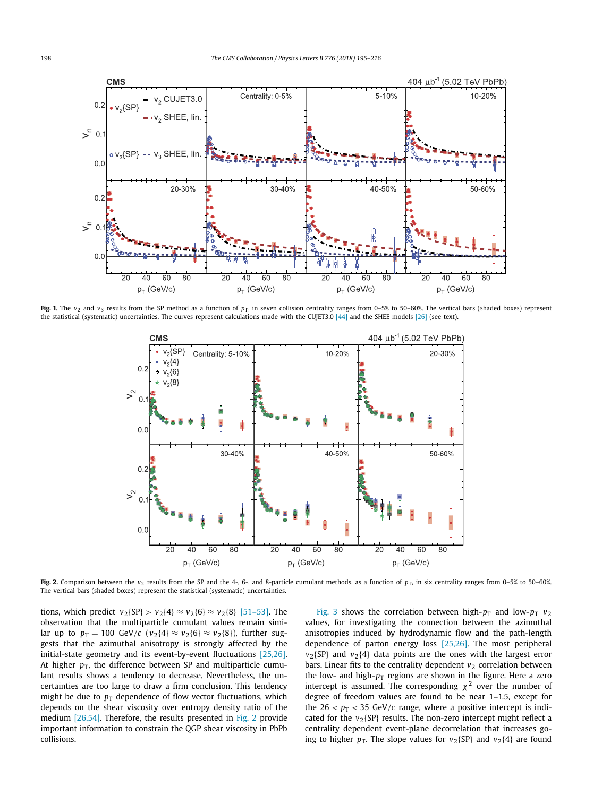<span id="page-3-0"></span>

Fig. 1. The  $v_2$  and  $v_3$  results from the SP method as a function of  $p_T$ , in seven collision centrality ranges from 0–5% to 50–60%. The vertical bars (shaded boxes) represent the statistical (systematic) uncertainties. The curves represent calculations made with the CUJET3.0 [\[44\]](#page-5-0) and the SHEE models [\[26\]](#page-5-0) (see text).



Fig. 2. Comparison between the  $v_2$  results from the SP and the 4-, 6-, and 8-particle cumulant methods, as a function of  $p_T$ , in six centrality ranges from 0-5% to 50-60%. The vertical bars (shaded boxes) represent the statistical (systematic) uncertainties.

tions, which predict  $v_2$ {SP} >  $v_2$ {4}  $\approx v_2$ {6}  $\approx v_2$ {8} [\[51–53\].](#page-6-0) The observation that the multiparticle cumulant values remain similar up to  $p_T = 100$  GeV/*c* ( $v_2$ {4}  $\approx v_2$ {6}  $\approx v_2$ {8}), further suggests that the azimuthal anisotropy is strongly affected by the initial-state geometry and its event-by-event fluctuations [\[25,26\].](#page-5-0) At higher  $p<sub>T</sub>$ , the difference between SP and multiparticle cumulant results shows a tendency to decrease. Nevertheless, the uncertainties are too large to draw a firm conclusion. This tendency might be due to  $p<sub>T</sub>$  dependence of flow vector fluctuations, which depends on the shear viscosity over entropy density ratio of the medium [\[26,54\].](#page-5-0) Therefore, the results presented in Fig. 2 provide important information to constrain the QGP shear viscosity in PbPb collisions.

[Fig. 3](#page-4-0) shows the correlation between high- $p_T$  and low- $p_T$   $v_2$ values, for investigating the connection between the azimuthal anisotropies induced by hydrodynamic flow and the path-length dependence of parton energy loss  $[25,26]$ . The most peripheral  $v_2$ {SP} and  $v_2$ {4} data points are the ones with the largest error bars. Linear fits to the centrality dependent  $v_2$  correlation between the low- and high- $p<sub>T</sub>$  regions are shown in the figure. Here a zero intercept is assumed. The corresponding  $\chi^2$  over the number of degree of freedom values are found to be near 1–1.5, except for the  $26 < p_T < 35$  GeV/*c* range, where a positive intercept is indicated for the  $v_2$ {SP} results. The non-zero intercept might reflect a centrality dependent event-plane decorrelation that increases going to higher  $p_T$ . The slope values for  $v_2$ {SP} and  $v_2$ {4} are found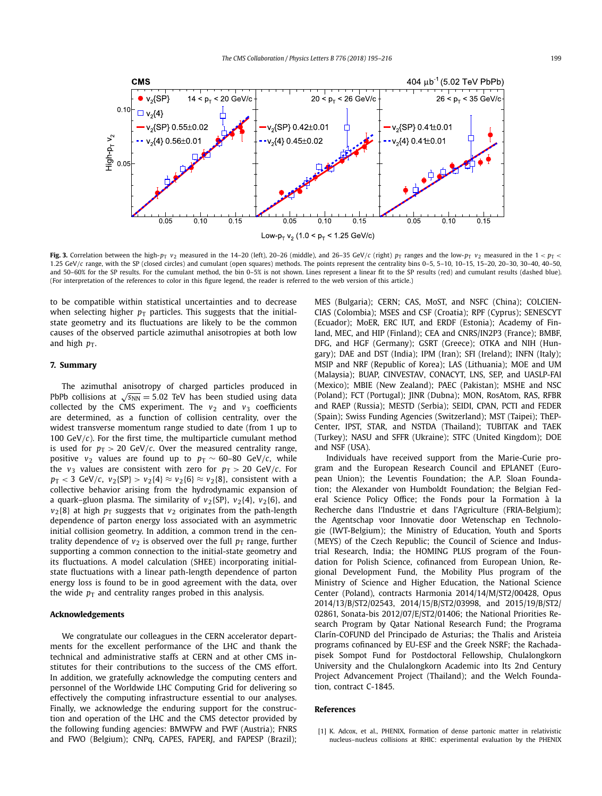<span id="page-4-0"></span>

Fig. 3. Correlation between the high- $p_T v_2$  measured in the 14-20 (left), 20-26 (middle), and 26-35 GeV/c (right)  $p_T$  ranges and the low- $p_T v_2$  measured in the  $1 < p_T < p_T$ 1*.*25 GeV*/c* range, with the SP (closed circles) and cumulant (open squares) methods. The points represent the centrality bins 0–5, 5–10, 10–15, 15–20, 20–30, 30–40, 40–50, and 50-60% for the SP results. For the cumulant method, the bin 0-5% is not shown. Lines represent a linear fit to the SP results (red) and cumulant results (dashed blue). (For interpretation of the references to color in this figure legend, the reader is referred to the web version of this article.)

to be compatible within statistical uncertainties and to decrease when selecting higher  $p_T$  particles. This suggests that the initialstate geometry and its fluctuations are likely to be the common causes of the observed particle azimuthal anisotropies at both low and high  $p_T$ .

#### **7. Summary**

The azimuthal anisotropy of charged particles produced in PbPb collisions at  $\sqrt{s_{NN}}$  = 5.02 TeV has been studied using data collected by the CMS experiment. The  $v_2$  and  $v_3$  coefficients are determined, as a function of collision centrality, over the widest transverse momentum range studied to date (from 1 up to 100 GeV $/c$ ). For the first time, the multiparticle cumulant method is used for  $p_T > 20$  GeV/*c*. Over the measured centrality range, positive *v*<sub>2</sub> values are found up to  $p_T \sim 60-80$  GeV/*c*, while the  $v_3$  values are consistent with zero for  $p_T > 20$  GeV/*c*. For  $p_{\text{T}} < 3$  GeV/*c*,  $v_2$ {SP} >  $v_2$ {4}  $\approx v_2$ {6}  $\approx v_2$ {8}, consistent with a collective behavior arising from the hydrodynamic expansion of a quark–gluon plasma. The similarity of  $v_2$ {SP},  $v_2$ {4},  $v_2$ {6}, and  $v_2$ {8} at high  $p_T$  suggests that  $v_2$  originates from the path-length dependence of parton energy loss associated with an asymmetric initial collision geometry. In addition, a common trend in the centrality dependence of  $v_2$  is observed over the full  $p_T$  range, further supporting a common connection to the initial-state geometry and its fluctuations. A model calculation (SHEE) incorporating initialstate fluctuations with a linear path-length dependence of parton energy loss is found to be in good agreement with the data, over the wide  $p_T$  and centrality ranges probed in this analysis.

#### **Acknowledgements**

We congratulate our colleagues in the CERN accelerator departments for the excellent performance of the LHC and thank the technical and administrative staffs at CERN and at other CMS institutes for their contributions to the success of the CMS effort. In addition, we gratefully acknowledge the computing centers and personnel of the Worldwide LHC Computing Grid for delivering so effectively the computing infrastructure essential to our analyses. Finally, we acknowledge the enduring support for the construction and operation of the LHC and the CMS detector provided by the following funding agencies: BMWFW and FWF (Austria); FNRS and FWO (Belgium); CNPq, CAPES, FAPERJ, and FAPESP (Brazil); MES (Bulgaria); CERN; CAS, MoST, and NSFC (China); COLCIEN-CIAS (Colombia); MSES and CSF (Croatia); RPF (Cyprus); SENESCYT (Ecuador); MoER, ERC IUT, and ERDF (Estonia); Academy of Finland, MEC, and HIP (Finland); CEA and CNRS/IN2P3 (France); BMBF, DFG, and HGF (Germany); GSRT (Greece); OTKA and NIH (Hungary); DAE and DST (India); IPM (Iran); SFI (Ireland); INFN (Italy); MSIP and NRF (Republic of Korea); LAS (Lithuania); MOE and UM (Malaysia); BUAP, CINVESTAV, CONACYT, LNS, SEP, and UASLP-FAI (Mexico); MBIE (New Zealand); PAEC (Pakistan); MSHE and NSC (Poland); FCT (Portugal); JINR (Dubna); MON, RosAtom, RAS, RFBR and RAEP (Russia); MESTD (Serbia); SEIDI, CPAN, PCTI and FEDER (Spain); Swiss Funding Agencies (Switzerland); MST (Taipei); ThEP-Center, IPST, STAR, and NSTDA (Thailand); TUBITAK and TAEK (Turkey); NASU and SFFR (Ukraine); STFC (United Kingdom); DOE and NSF (USA).

Individuals have received support from the Marie-Curie program and the European Research Council and EPLANET (European Union); the Leventis Foundation; the A.P. Sloan Foundation; the Alexander von Humboldt Foundation; the Belgian Federal Science Policy Office; the Fonds pour la Formation à la Recherche dans l'Industrie et dans l'Agriculture (FRIA-Belgium); the Agentschap voor Innovatie door Wetenschap en Technologie (IWT-Belgium); the Ministry of Education, Youth and Sports (MEYS) of the Czech Republic; the Council of Science and Industrial Research, India; the HOMING PLUS program of the Foundation for Polish Science, cofinanced from European Union, Regional Development Fund, the Mobility Plus program of the Ministry of Science and Higher Education, the National Science Center (Poland), contracts Harmonia 2014/14/M/ST2/00428, Opus 2014/13/B/ST2/02543, 2014/15/B/ST2/03998, and 2015/19/B/ST2/ 02861, Sonata-bis 2012/07/E/ST2/01406; the National Priorities Research Program by Qatar National Research Fund; the Programa Clarín-COFUND del Principado de Asturias; the Thalis and Aristeia programs cofinanced by EU-ESF and the Greek NSRF; the Rachadapisek Sompot Fund for Postdoctoral Fellowship, Chulalongkorn University and the Chulalongkorn Academic into Its 2nd Century Project Advancement Project (Thailand); and the Welch Foundation, contract C-1845.

#### **References**

<sup>[1]</sup> K. Adcox, et al., PHENIX, Formation of dense partonic matter in relativistic nucleus–nucleus collisions at RHIC: experimental evaluation by the PHENIX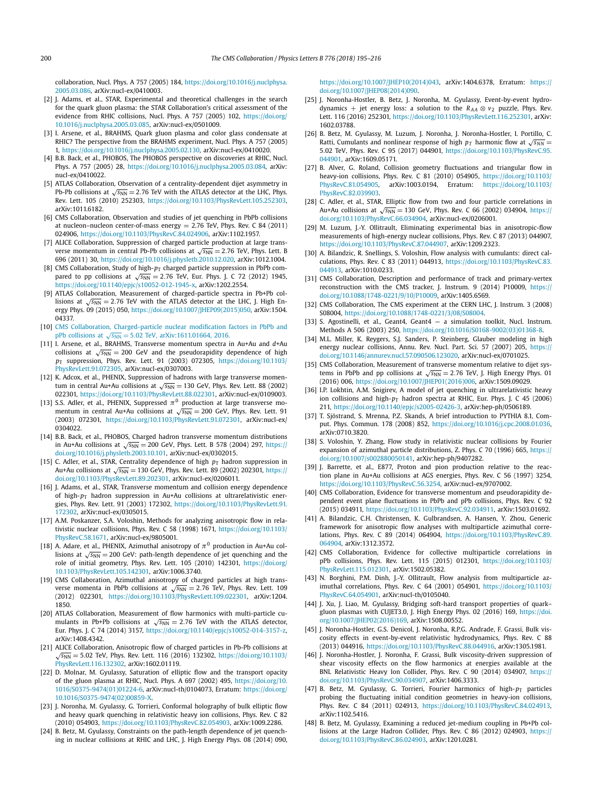<span id="page-5-0"></span>collaboration, Nucl. Phys. A 757 (2005) 184, [https://doi.org/10.1016/j.nuclphysa.](https://doi.org/10.1016/j.nuclphysa.2005.03.086) [2005.03.086,](https://doi.org/10.1016/j.nuclphysa.2005.03.086) arXiv:nucl-ex/0410003.

- [2] J. Adams, et al., STAR, Experimental and theoretical challenges in the search for the quark gluon plasma: the STAR Collaboration's critical assessment of the evidence from RHIC collisions, Nucl. Phys. A 757 (2005) 102, [https://doi.org/](https://doi.org/10.1016/j.nuclphysa.2005.03.085) [10.1016/j.nuclphysa.2005.03.085](https://doi.org/10.1016/j.nuclphysa.2005.03.085), arXiv:nucl-ex/0501009.
- [3] I. Arsene, et al., BRAHMS, Quark gluon plasma and color glass condensate at RHIC? The perspective from the BRAHMS experiment, Nucl. Phys. A 757 (2005) 1, [https://doi.org/10.1016/j.nuclphysa.2005.02.130,](https://doi.org/10.1016/j.nuclphysa.2005.02.130) arXiv:nucl-ex/0410020.
- [4] B.B. Back, et al., PHOBOS, The PHOBOS perspective on discoveries at RHIC, Nucl. Phys. A 757 (2005) 28, [https://doi.org/10.1016/j.nuclphysa.2005.03.084,](https://doi.org/10.1016/j.nuclphysa.2005.03.084) arXiv: nucl-ex/0410022.
- [5] ATLAS Collaboration, Observation of a centrality-dependent dijet asymmetry in Pb-Pb collisions at  $\sqrt{s_{NN}}$  = 2.76 TeV with the ATLAS detector at the LHC, Phys. Rev. Lett. 105 (2010) 252303, <https://doi.org/10.1103/PhysRevLett.105.252303>, arXiv:1011.6182.
- [6] CMS Collaboration, Observation and studies of jet quenching in PbPb collisions at nucleon–nucleon center-of-mass energy  $= 2.76$  TeV, Phys. Rev. C 84 (2011) 024906, [https://doi.org/10.1103/PhysRevC.84.024906,](https://doi.org/10.1103/PhysRevC.84.024906) arXiv:1102.1957.
- [7] ALICE Collaboration, Suppression of charged particle production at large transverse momentum in central Pb-Pb collisions at  $\sqrt{s_{NN}}$  = 2.76 TeV, Phys. Lett. B 696 (2011) 30, <https://doi.org/10.1016/j.physletb.2010.12.020>, arXiv:1012.1004.
- [8] CMS Collaboration, Study of high- $p_T$  charged particle suppression in PbPb compared to pp collisions at  $\sqrt{s_{NN}}$  = 2.76 TeV, Eur. Phys. J. C 72 (2012) 1945, <https://doi.org/10.1140/epjc/s10052-012-1945-x>, arXiv:1202.2554.
- [9] ATLAS Collaboration, Measurement of charged-particle spectra in Pb+Pb collisions at  $\sqrt{s_{NN}}$  = 2.76 TeV with the ATLAS detector at the LHC, J. High Energy Phys. 09 (2015) 050, [https://doi.org/10.1007/JHEP09\(2015\)050](https://doi.org/10.1007/JHEP09(2015)050), arXiv:1504. 04337.
- [10] CMS Collaboration, [Charged-particle](http://refhub.elsevier.com/S0370-2693(17)30933-4/bib4B6861636861747279616E3A323031366F646Es1) nuclear modification factors in PbPb and pPb collisions at  $\sqrt{s_{NN}}$  = 5.02 TeV, [arXiv:1611.01664,](http://refhub.elsevier.com/S0370-2693(17)30933-4/bib4B6861636861747279616E3A323031366F646Es1) 2016.
- [11] I. Arsene, et al., BRAHMS, Transverse momentum spectra in Au+Au and *d*+Au collisions at  $\sqrt{s_{NN}}$  = 200 GeV and the pseudorapidity dependence of high *p*<sup>T</sup> suppression, Phys. Rev. Lett. 91 (2003) 072305, [https://doi.org/10.1103/](https://doi.org/10.1103/PhysRevLett.91.072305) [PhysRevLett.91.072305,](https://doi.org/10.1103/PhysRevLett.91.072305) arXiv:nucl-ex/0307003.
- [12] K. Adcox, et al., PHENIX, Suppression of hadrons with large transverse momentum in central Au+Au collisions at  $\sqrt{s_{NN}}$  = 130 GeV, Phys. Rev. Lett. 88 (2002) 022301, <https://doi.org/10.1103/PhysRevLett.88.022301>, arXiv:nucl-ex/0109003.
- [13] S.S. Adler, et al., PHENIX, Suppressed  $\pi^0$  production at large transverse momentum in central Au+Au collisions at  $\sqrt{s_{NN}}$  = 200 GeV, Phys. Rev. Lett. 91 (2003) 072301, [https://doi.org/10.1103/PhysRevLett.91.072301,](https://doi.org/10.1103/PhysRevLett.91.072301) arXiv:nucl-ex/ 0304022.
- [14] B.B. Back, et al., PHOBOS, Charged hadron transverse momentum distributions in Au+Au collisions at  $\sqrt{s_{NN}}$  = 200 GeV, Phys. Lett. B 578 (2004) 297, [https://](https://doi.org/10.1016/j.physletb.2003.10.101) [doi.org/10.1016/j.physletb.2003.10.101](https://doi.org/10.1016/j.physletb.2003.10.101), arXiv:nucl-ex/0302015.
- [15] C. Adler, et al., STAR, Centrality dependence of high  $p_T$  hadron suppression in Au+Au collisions at √*s*<sub>NN</sub> = 130 GeV, Phys. Rev. Lett. 89 (2002) 202301, [https://](https://doi.org/10.1103/PhysRevLett.89.202301) [doi.org/10.1103/PhysRevLett.89.202301](https://doi.org/10.1103/PhysRevLett.89.202301), arXiv:nucl-ex/0206011.
- [16] J. Adams, et al., STAR, Transverse momentum and collision energy dependence of high- $p_T$  hadron suppression in Au+Au collisions at ultrarelativistic energies, Phys. Rev. Lett. 91 (2003) 172302, [https://doi.org/10.1103/PhysRevLett.91.](https://doi.org/10.1103/PhysRevLett.91.172302) [172302,](https://doi.org/10.1103/PhysRevLett.91.172302) arXiv:nucl-ex/0305015.
- [17] A.M. Poskanzer, S.A. Voloshin, Methods for analyzing anisotropic flow in relativistic nuclear collisions, Phys. Rev. C 58 (1998) 1671, [https://doi.org/10.1103/](https://doi.org/10.1103/PhysRevC.58.1671) [PhysRevC.58.1671](https://doi.org/10.1103/PhysRevC.58.1671), arXiv:nucl-ex/9805001.
- [18] A. Adare, et al., PHENIX, Azimuthal anisotropy of *π*<sup>0</sup> production in Au+Au collisions at  $\sqrt{s_{NN}}$  = 200 GeV: path-length dependence of jet quenching and the role of initial geometry, Phys. Rev. Lett. 105 (2010) 142301, [https://doi.org/](https://doi.org/10.1103/PhysRevLett.105.142301) [10.1103/PhysRevLett.105.142301](https://doi.org/10.1103/PhysRevLett.105.142301), arXiv:1006.3740.
- [19] CMS Collaboration, Azimuthal anisotropy of charged particles at high transverse momenta in PbPb collisions at  $\sqrt{s_{NN}} = 2.76$  TeV, Phys. Rev. Lett. 109 (2012) 022301, [https://doi.org/10.1103/PhysRevLett.109.022301,](https://doi.org/10.1103/PhysRevLett.109.022301) arXiv:1204. 1850.
- [20] ATLAS Collaboration, Measurement of flow harmonics with multi-particle cumulants in Pb+Pb collisions at  $\sqrt{s_{NN}} = 2.76$  TeV with the ATLAS detector, Eur. Phys. J. C 74 (2014) 3157, <https://doi.org/10.1140/epjc/s10052-014-3157-z>, arXiv:1408.4342.
- [21] ALICE Collaboration, Anisotropic flow of charged particles in Pb-Pb collisions at √*s*<sub>NN</sub> = 5.02 TeV, Phys. Rev. Lett. 116 (2016) 132302, [https://doi.org/10.1103/](https://doi.org/10.1103/PhysRevLett.116.132302) [PhysRevLett.116.132302,](https://doi.org/10.1103/PhysRevLett.116.132302) arXiv:1602.01119.
- [22] D. Molnar, M. Gyulassy, Saturation of elliptic flow and the transport opacity of the gluon plasma at RHIC, Nucl. Phys. A 697 (2002) 495, [https://doi.org/10.](https://doi.org/10.1016/S0375-9474(01)01224-6) [1016/S0375-9474\(01\)01224-6,](https://doi.org/10.1016/S0375-9474(01)01224-6) arXiv:nucl-th/0104073, Erratum: [https://doi.org/](https://doi.org/10.1016/S0375-9474(02)00859-X) [10.1016/S0375-9474\(02\)00859-X.](https://doi.org/10.1016/S0375-9474(02)00859-X)
- [23] J. Noronha, M. Gyulassy, G. Torrieri, Conformal holography of bulk elliptic flow and heavy quark quenching in relativistic heavy ion collisions, Phys. Rev. C 82 (2010) 054903, <https://doi.org/10.1103/PhysRevC.82.054903>, arXiv:1009.2286.
- [24] B. Betz, M. Gyulassy, Constraints on the path-length dependence of jet quenching in nuclear collisions at RHIC and LHC, J. High Energy Phys. 08 (2014) 090,

[https://doi.org/10.1007/JHEP10\(2014\)043](https://doi.org/10.1007/JHEP10(2014)043), arXiv:1404.6378, Erratum: [https://](https://doi.org/10.1007/JHEP08(2014)090) [doi.org/10.1007/JHEP08\(2014\)090](https://doi.org/10.1007/JHEP08(2014)090).

- [25] J. Noronha-Hostler, B. Betz, J. Noronha, M. Gyulassy, Event-by-event hydrodynamics + jet energy loss: a solution to the *R A A* ⊗ *v*<sup>2</sup> puzzle, Phys. Rev. Lett. 116 (2016) 252301, [https://doi.org/10.1103/PhysRevLett.116.252301,](https://doi.org/10.1103/PhysRevLett.116.252301) arXiv: 1602.03788.
- [26] B. Betz, M. Gyulassy, M. Luzum, J. Noronha, J. Noronha-Hostler, I. Portillo, C. Ratti, Cumulants and nonlinear response of high  $p_T$  harmonic flow at  $\sqrt{s_{NN}}$  = 5*.*02 TeV, Phys. Rev. C 95 (2017) 044901, [https://doi.org/10.1103/PhysRevC.95.](https://doi.org/10.1103/PhysRevC.95.044901) [044901,](https://doi.org/10.1103/PhysRevC.95.044901) arXiv:1609.05171.
- [27] B. Alver, G. Roland, Collision geometry fluctuations and triangular flow in heavy-ion collisions, Phys. Rev. C 81 (2010) 054905, [https://doi.org/10.1103/](https://doi.org/10.1103/PhysRevC.81.054905) [PhysRevC.81.054905](https://doi.org/10.1103/PhysRevC.81.054905), arXiv:1003.0194, Erratum: [https://doi.org/10.1103/](https://doi.org/10.1103/PhysRevC.82.039903) [PhysRevC.82.039903.](https://doi.org/10.1103/PhysRevC.82.039903)
- [28] C. Adler, et al., STAR, Elliptic flow from two and four particle correlations in Au+Au collisions at  $\sqrt{s_{NN}}$  = 130 GeV, Phys. Rev. C 66 (2002) 034904, [https://](https://doi.org/10.1103/PhysRevC.66.034904) [doi.org/10.1103/PhysRevC.66.034904,](https://doi.org/10.1103/PhysRevC.66.034904) arXiv:nucl-ex/0206001.
- [29] M. Luzum, J.-Y. Ollitrault, Eliminating experimental bias in anisotropic-flow measurements of high-energy nuclear collisions, Phys. Rev. C 87 (2013) 044907, <https://doi.org/10.1103/PhysRevC.87.044907>, arXiv:1209.2323.
- [30] A. Bilandzic, R. Snellings, S. Voloshin, Flow analysis with cumulants: direct calculations, Phys. Rev. C 83 (2011) 044913, [https://doi.org/10.1103/PhysRevC.83.](https://doi.org/10.1103/PhysRevC.83.044913) [044913,](https://doi.org/10.1103/PhysRevC.83.044913) arXiv:1010.0233.
- [31] CMS Collaboration, Description and performance of track and primary-vertex reconstruction with the CMS tracker, J. Instrum. 9 (2014) P10009, [https://](https://doi.org/10.1088/1748-0221/9/10/P10009) [doi.org/10.1088/1748-0221/9/10/P10009](https://doi.org/10.1088/1748-0221/9/10/P10009), arXiv:1405.6569.
- [32] CMS Collaboration, The CMS experiment at the CERN LHC, J. Instrum. 3 (2008) S08004, <https://doi.org/10.1088/1748-0221/3/08/S08004>.
- [33] S. Agostinelli, et al., Geant4, Geant4 a simulation toolkit, Nucl. Instrum. Methods A 506 (2003) 250, [https://doi.org/10.1016/S0168-9002\(03\)01368-8](https://doi.org/10.1016/S0168-9002(03)01368-8).
- [34] M.L. Miller, K. Reygers, S.J. Sanders, P. Steinberg, Glauber modeling in high energy nuclear collisions, Annu. Rev. Nucl. Part. Sci. 57 (2007) 205, [https://](https://doi.org/10.1146/annurev.nucl.57.090506.123020) [doi.org/10.1146/annurev.nucl.57.090506.123020](https://doi.org/10.1146/annurev.nucl.57.090506.123020), arXiv:nucl-ex/0701025.
- [35] CMS Collaboration, Measurement of transverse momentum relative to dijet systems in PbPb and pp collisions at  $\sqrt{s_{NN}} = 2.76$  TeV, J. High Energy Phys. 01 (2016) 006, [https://doi.org/10.1007/JHEP01\(2016\)006,](https://doi.org/10.1007/JHEP01(2016)006) arXiv:1509.09029.
- [36] I.P. Lokhtin, A.M. Snigirev, A model of jet quenching in ultrarelativistic heavy ion collisions and high- $p_T$  hadron spectra at RHIC, Eur. Phys. J. C 45 (2006) 211, [https://doi.org/10.1140/epjc/s2005-02426-3,](https://doi.org/10.1140/epjc/s2005-02426-3) arXiv:hep-ph/0506189.
- [37] T. Sjöstrand, S. Mrenna, P.Z. Skands, A brief introduction to PYTHIA 8.1, Comput. Phys. Commun. 178 (2008) 852, <https://doi.org/10.1016/j.cpc.2008.01.036>, arXiv:0710.3820.
- [38] S. Voloshin, Y. Zhang, Flow study in relativistic nuclear collisions by Fourier expansion of azimuthal particle distributions, Z. Phys. C 70 (1996) 665, [https://](https://doi.org/10.1007/s002880050141) [doi.org/10.1007/s002880050141](https://doi.org/10.1007/s002880050141), arXiv:hep-ph/9407282.
- [39] J. Barrette, et al., E877, Proton and pion production relative to the reaction plane in Au+Au collisions at AGS energies, Phys. Rev. C 56 (1997) 3254, <https://doi.org/10.1103/PhysRevC.56.3254>, arXiv:nucl-ex/9707002.
- [40] CMS Collaboration, Evidence for transverse momentum and pseudorapidity dependent event plane fluctuations in PbPb and pPb collisions, Phys. Rev. C 92 (2015) 034911, [https://doi.org/10.1103/PhysRevC.92.034911,](https://doi.org/10.1103/PhysRevC.92.034911) arXiv:1503.01692.
- [41] A. Bilandzic, C.H. Christensen, K. Gulbrandsen, A. Hansen, Y. Zhou, Generic framework for anisotropic flow analyses with multiparticle azimuthal correlations, Phys. Rev. C 89 (2014) 064904, [https://doi.org/10.1103/PhysRevC.89.](https://doi.org/10.1103/PhysRevC.89.064904) [064904,](https://doi.org/10.1103/PhysRevC.89.064904) arXiv:1312.3572.
- [42] CMS Collaboration, Evidence for collective multiparticle correlations in pPb collisions, Phys. Rev. Lett. 115 (2015) 012301, [https://doi.org/10.1103/](https://doi.org/10.1103/PhysRevLett.115.012301) [PhysRevLett.115.012301](https://doi.org/10.1103/PhysRevLett.115.012301), arXiv:1502.05382.
- [43] N. Borghini, P.M. Dinh, J.-Y. Ollitrault, Flow analysis from multiparticle azimuthal correlations, Phys. Rev. C 64 (2001) 054901, [https://doi.org/10.1103/](https://doi.org/10.1103/PhysRevC.64.054901) [PhysRevC.64.054901,](https://doi.org/10.1103/PhysRevC.64.054901) arXiv:nucl-th/0105040.
- [44] J. Xu, J. Liao, M. Gyulassy, Bridging soft-hard transport properties of quark– gluon plasmas with CUJET3.0, J. High Energy Phys. 02 (2016) 169, [https://doi.](https://doi.org/10.1007/JHEP02(2016)169) [org/10.1007/JHEP02\(2016\)169](https://doi.org/10.1007/JHEP02(2016)169), arXiv:1508.00552.
- [45] J. Noronha-Hostler, G.S. Denicol, J. Noronha, R.P.G. Andrade, F. Grassi, Bulk viscosity effects in event-by-event relativistic hydrodynamics, Phys. Rev. C 88 (2013) 044916, <https://doi.org/10.1103/PhysRevC.88.044916>, arXiv:1305.1981.
- [46] J. Noronha-Hostler, J. Noronha, F. Grassi, Bulk viscosity-driven suppression of shear viscosity effects on the flow harmonics at energies available at the BNL Relativistic Heavy Ion Collider, Phys. Rev. C 90 (2014) 034907, [https://](https://doi.org/10.1103/PhysRevC.90.034907) [doi.org/10.1103/PhysRevC.90.034907,](https://doi.org/10.1103/PhysRevC.90.034907) arXiv:1406.3333.
- [47] B. Betz, M. Gyulassy, G. Torrieri, Fourier harmonics of high- $p_T$  particles probing the fluctuating initial condition geometries in heavy-ion collisions, Phys. Rev. C 84 (2011) 024913, <https://doi.org/10.1103/PhysRevC.84.024913>, arXiv:1102.5416.
- [48] B. Betz, M. Gyulassy, Examining a reduced jet-medium coupling in Pb+Pb collisions at the Large Hadron Collider, Phys. Rev. C 86 (2012) 024903, [https://](https://doi.org/10.1103/PhysRevC.86.024903) [doi.org/10.1103/PhysRevC.86.024903,](https://doi.org/10.1103/PhysRevC.86.024903) arXiv:1201.0281.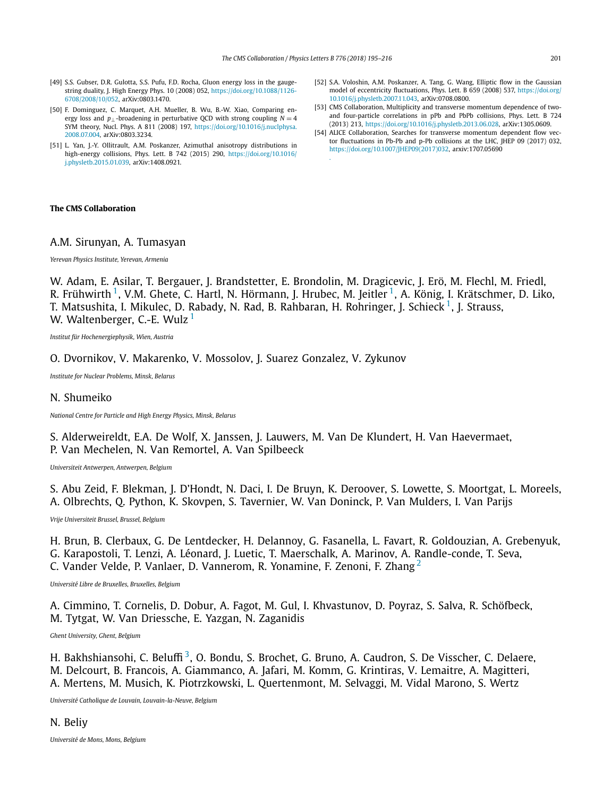[.](http://refhub.elsevier.com/S0370-2693(17)30933-4/bib416368617279613A32303137696E6Fs1)

- <span id="page-6-0"></span>[49] S.S. Gubser, D.R. Gulotta, S.S. Pufu, F.D. Rocha, Gluon energy loss in the gaugestring duality, J. High Energy Phys. 10 (2008) 052, [https://doi.org/10.1088/1126-](https://doi.org/10.1088/1126-6708/2008/10/052) [6708/2008/10/052,](https://doi.org/10.1088/1126-6708/2008/10/052) arXiv:0803.1470.
- [50] F. Dominguez, C. Marquet, A.H. Mueller, B. Wu, B.-W. Xiao, Comparing energy loss and *p*<sub>⊥</sub>-broadening in perturbative OCD with strong coupling  $\tilde{N} = 4$ SYM theory, Nucl. Phys. A 811 (2008) 197, [https://doi.org/10.1016/j.nuclphysa.](https://doi.org/10.1016/j.nuclphysa.2008.07.004) [2008.07.004,](https://doi.org/10.1016/j.nuclphysa.2008.07.004) arXiv:0803.3234.
- [51] L. Yan, J.-Y. Ollitrault, A.M. Poskanzer, Azimuthal anisotropy distributions in high-energy collisions, Phys. Lett. B 742 (2015) 290, [https://doi.org/10.1016/](https://doi.org/10.1016/j.physletb.2015.01.039) [j.physletb.2015.01.039,](https://doi.org/10.1016/j.physletb.2015.01.039) arXiv:1408.0921.
- [52] S.A. Voloshin, A.M. Poskanzer, A. Tang, G. Wang, Elliptic flow in the Gaussian model of eccentricity fluctuations, Phys. Lett. B 659 (2008) 537, [https://doi.org/](https://doi.org/10.1016/j.physletb.2007.11.043) [10.1016/j.physletb.2007.11.043,](https://doi.org/10.1016/j.physletb.2007.11.043) arXiv:0708.0800.
- [53] CMS Collaboration, Multiplicity and transverse momentum dependence of twoand four-particle correlations in pPb and PbPb collisions, Phys. Lett. B 724 (2013) 213, [https://doi.org/10.1016/j.physletb.2013.06.028,](https://doi.org/10.1016/j.physletb.2013.06.028) arXiv:1305.0609.
- [54] ALICE Collaboration, Searches for transverse momentum dependent flow vector fluctuations in Pb-Pb and p-Pb collisions at the LHC, JHEP 09 (2017) 032, [https://doi.org/10.1007/JHEP09\(2017\)032,](https://doi.org/10.1007/JHEP09(2017)032) arxiv:1707.05690

#### **The CMS Collaboration**

#### A.M. Sirunyan, A. Tumasyan

*Yerevan Physics Institute, Yerevan, Armenia*

W. Adam, E. Asilar, T. Bergauer, J. Brandstetter, E. Brondolin, M. Dragicevic, J. Erö, M. Flechl, M. Friedl, R. Frühwirth <sup>1</sup>, V.M. Ghete, C. Hartl, N. Hörmann, J. Hrubec, M. Jeitler <sup>1</sup>, A. König, I. Krätschmer, D. Liko, T. Matsushita, I. Mikulec, D. Rabady, N. Rad, B. Rahbaran, H. Rohringer, J. Schieck<sup>1</sup>, J. Strauss, W. Waltenberger, C.-E. Wulz<sup>[1](#page-20-0)</sup>

*Institut für Hochenergiephysik, Wien, Austria*

#### O. Dvornikov, V. Makarenko, V. Mossolov, J. Suarez Gonzalez, V. Zykunov

*Institute for Nuclear Problems, Minsk, Belarus*

#### N. Shumeiko

*National Centre for Particle and High Energy Physics, Minsk, Belarus*

S. Alderweireldt, E.A. De Wolf, X. Janssen, J. Lauwers, M. Van De Klundert, H. Van Haevermaet, P. Van Mechelen, N. Van Remortel, A. Van Spilbeeck

*Universiteit Antwerpen, Antwerpen, Belgium*

S. Abu Zeid, F. Blekman, J. D'Hondt, N. Daci, I. De Bruyn, K. Deroover, S. Lowette, S. Moortgat, L. Moreels, A. Olbrechts, Q. Python, K. Skovpen, S. Tavernier, W. Van Doninck, P. Van Mulders, I. Van Parijs

*Vrije Universiteit Brussel, Brussel, Belgium*

H. Brun, B. Clerbaux, G. De Lentdecker, H. Delannoy, G. Fasanella, L. Favart, R. Goldouzian, A. Grebenyuk, G. Karapostoli, T. Lenzi, A. Léonard, J. Luetic, T. Maerschalk, A. Marinov, A. Randle-conde, T. Seva, C. Vander Velde, P. Vanlaer, D. Vannerom, R. Yonamine, F. Zenoni, F. Zhang  $^2$  $^2$ 

*Université Libre de Bruxelles, Bruxelles, Belgium*

A. Cimmino, T. Cornelis, D. Dobur, A. Fagot, M. Gul, I. Khvastunov, D. Poyraz, S. Salva, R. Schöfbeck, M. Tytgat, W. Van Driessche, E. Yazgan, N. Zaganidis

*Ghent University, Ghent, Belgium*

H. Bakhshiansohi, C. Beluffi<sup>3</sup>, O. Bondu, S. Brochet, G. Bruno, A. Caudron, S. De Visscher, C. Delaere, M. Delcourt, B. Francois, A. Giammanco, A. Jafari, M. Komm, G. Krintiras, V. Lemaitre, A. Magitteri, A. Mertens, M. Musich, K. Piotrzkowski, L. Quertenmont, M. Selvaggi, M. Vidal Marono, S. Wertz

*Université Catholique de Louvain, Louvain-la-Neuve, Belgium*

#### N. Beliy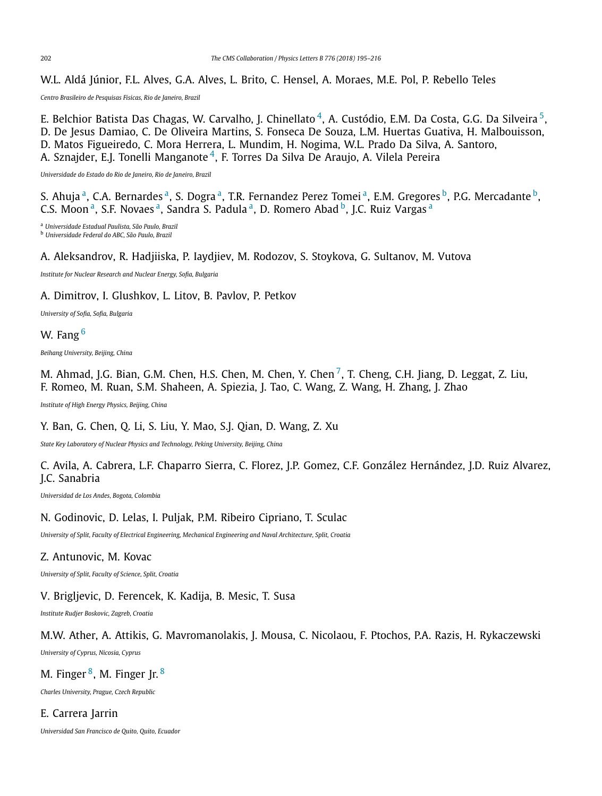W.L. Aldá Júnior, F.L. Alves, G.A. Alves, L. Brito, C. Hensel, A. Moraes, M.E. Pol, P. Rebello Teles

*Centro Brasileiro de Pesquisas Fisicas, Rio de Janeiro, Brazil*

E. Belchior Batista Das Chagas, W. Carvalho, J. Chinellato<sup>4</sup>, A. Custódio, E.M. Da Costa, G.G. Da Silveira<sup>5</sup>, D. De Jesus Damiao, C. De Oliveira Martins, S. Fonseca De Souza, L.M. Huertas Guativa, H. Malbouisson, D. Matos Figueiredo, C. Mora Herrera, L. Mundim, H. Nogima, W.L. Prado Da Silva, A. Santoro, A. Sznajder, E.J. Tonelli Manganote<sup>4</sup>, F. Torres Da Silva De Araujo, A. Vilela Pereira

*Universidade do Estado do Rio de Janeiro, Rio de Janeiro, Brazil*

S. Ahuja<sup>a</sup>, C.A. Bernardes<sup>a</sup>, S. Dogra<sup>a</sup>, T.R. Fernandez Perez Tomei<sup>a</sup>, E.M. Gregores<sup>b</sup>, P.G. Mercadante<sup>b</sup>, C.S. Moon<sup>a</sup>, S.F. Novaes<sup>a</sup>, Sandra S. Padula<sup>a</sup>, D. Romero Abad <sup>b</sup>, J.C. Ruiz Vargas<sup>a</sup>

<sup>a</sup> *Universidade Estadual Paulista, São Paulo, Brazil* <sup>b</sup> *Universidade Federal do ABC, São Paulo, Brazil*

A. Aleksandrov, R. Hadjiiska, P. Iaydjiev, M. Rodozov, S. Stoykova, G. Sultanov, M. Vutova

*Institute for Nuclear Research and Nuclear Energy, Sofia, Bulgaria*

A. Dimitrov, I. Glushkov, L. Litov, B. Pavlov, P. Petkov

*University of Sofia, Sofia, Bulgaria*

#### W. Fang<sup>[6](#page-20-0)</sup>

*Beihang University, Beijing, China*

M. Ahmad, J.G. Bian, G.M. Chen, H.S. Chen, M. Chen, Y. Chen<sup>7</sup>, T. Cheng, C.H. Jiang, D. Leggat, Z. Liu, F. Romeo, M. Ruan, S.M. Shaheen, A. Spiezia, J. Tao, C. Wang, Z. Wang, H. Zhang, J. Zhao

*Institute of High Energy Physics, Beijing, China*

Y. Ban, G. Chen, Q. Li, S. Liu, Y. Mao, S.J. Qian, D. Wang, Z. Xu

*State Key Laboratory of Nuclear Physics and Technology, Peking University, Beijing, China*

## C. Avila, A. Cabrera, L.F. Chaparro Sierra, C. Florez, J.P. Gomez, C.F. González Hernández, J.D. Ruiz Alvarez, J.C. Sanabria

*Universidad de Los Andes, Bogota, Colombia*

#### N. Godinovic, D. Lelas, I. Puljak, P.M. Ribeiro Cipriano, T. Sculac

*University of Split, Faculty of Electrical Engineering, Mechanical Engineering and Naval Architecture, Split, Croatia*

#### Z. Antunovic, M. Kovac

*University of Split, Faculty of Science, Split, Croatia*

#### V. Brigljevic, D. Ferencek, K. Kadija, B. Mesic, T. Susa

*Institute Rudjer Boskovic, Zagreb, Croatia*

## M.W. Ather, A. Attikis, G. Mavromanolakis, J. Mousa, C. Nicolaou, F. Ptochos, P.A. Razis, H. Rykaczewski

*University of Cyprus, Nicosia, Cyprus*

## M. Finger  $^8$  $^8$ , M. Finger Jr.  $^8$

*Charles University, Prague, Czech Republic*

## E. Carrera Jarrin

*Universidad San Francisco de Quito, Quito, Ecuador*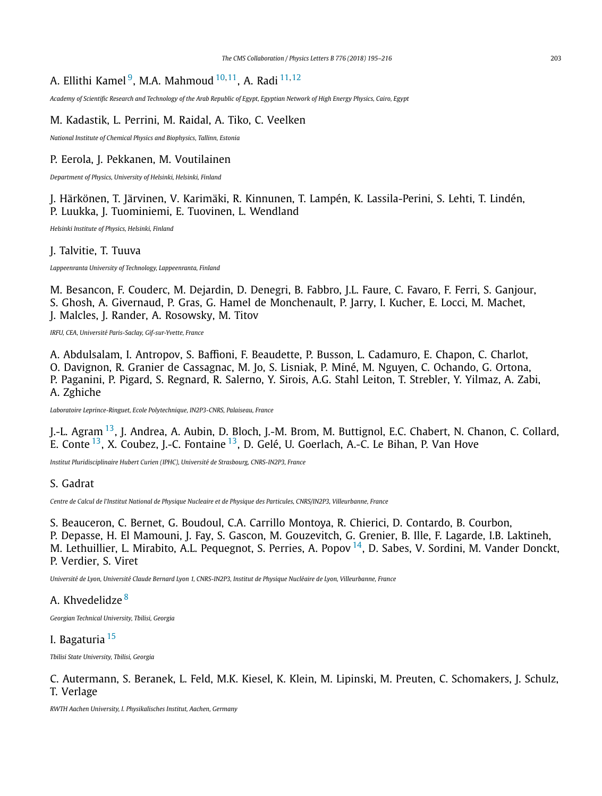# A. Ellithi Kamel [9,](#page-20-0) M.A. Mahmoud [10](#page-20-0)*,*[11](#page-20-0), A. Radi [11](#page-20-0)*,*[12](#page-20-0)

Academy of Scientific Research and Technology of the Arab Republic of Egypt, Egyptian Network of High Energy Physics, Cairo, Egypt

#### M. Kadastik, L. Perrini, M. Raidal, A. Tiko, C. Veelken

*National Institute of Chemical Physics and Biophysics, Tallinn, Estonia*

#### P. Eerola, J. Pekkanen, M. Voutilainen

*Department of Physics, University of Helsinki, Helsinki, Finland*

J. Härkönen, T. Järvinen, V. Karimäki, R. Kinnunen, T. Lampén, K. Lassila-Perini, S. Lehti, T. Lindén, P. Luukka, J. Tuominiemi, E. Tuovinen, L. Wendland

*Helsinki Institute of Physics, Helsinki, Finland*

#### J. Talvitie, T. Tuuva

*Lappeenranta University of Technology, Lappeenranta, Finland*

M. Besancon, F. Couderc, M. Dejardin, D. Denegri, B. Fabbro, J.L. Faure, C. Favaro, F. Ferri, S. Ganjour, S. Ghosh, A. Givernaud, P. Gras, G. Hamel de Monchenault, P. Jarry, I. Kucher, E. Locci, M. Machet, J. Malcles, J. Rander, A. Rosowsky, M. Titov

*IRFU, CEA, Université Paris-Saclay, Gif-sur-Yvette, France*

A. Abdulsalam, I. Antropov, S. Baffioni, F. Beaudette, P. Busson, L. Cadamuro, E. Chapon, C. Charlot, O. Davignon, R. Granier de Cassagnac, M. Jo, S. Lisniak, P. Miné, M. Nguyen, C. Ochando, G. Ortona, P. Paganini, P. Pigard, S. Regnard, R. Salerno, Y. Sirois, A.G. Stahl Leiton, T. Strebler, Y. Yilmaz, A. Zabi, A. Zghiche

*Laboratoire Leprince-Ringuet, Ecole Polytechnique, IN2P3-CNRS, Palaiseau, France*

J.-L. Agram <sup>13</sup>, J. Andrea, A. Aubin, D. Bloch, J.-M. Brom, M. Buttignol, E.C. Chabert, N. Chanon, C. Collard, E. Conte [13,](#page-20-0) X. Coubez, J.-C. Fontaine [13](#page-20-0), D. Gelé, U. Goerlach, A.-C. Le Bihan, P. Van Hove

*Institut Pluridisciplinaire Hubert Curien (IPHC), Université de Strasbourg, CNRS-IN2P3, France*

#### S. Gadrat

Centre de Calcul de l'Institut National de Physique Nucleaire et de Physique des Particules, CNRS/IN2P3, Villeurbanne, France

S. Beauceron, C. Bernet, G. Boudoul, C.A. Carrillo Montoya, R. Chierici, D. Contardo, B. Courbon, P. Depasse, H. El Mamouni, J. Fay, S. Gascon, M. Gouzevitch, G. Grenier, B. Ille, F. Lagarde, I.B. Laktineh, M. Lethuillier, L. Mirabito, A.L. Pequegnot, S. Perries, A. Popov <sup>[14](#page-20-0)</sup>, D. Sabes, V. Sordini, M. Vander Donckt, P. Verdier, S. Viret

Université de Lyon, Université Claude Bernard Lyon 1, CNRS-IN2P3, Institut de Physique Nucléaire de Lyon, Villeurbanne, France

# A. Khvedelidze<sup>[8](#page-20-0)</sup>

*Georgian Technical University, Tbilisi, Georgia*

#### I. Bagaturia [15](#page-20-0)

*Tbilisi State University, Tbilisi, Georgia*

C. Autermann, S. Beranek, L. Feld, M.K. Kiesel, K. Klein, M. Lipinski, M. Preuten, C. Schomakers, J. Schulz, T. Verlage

*RWTH Aachen University, I. Physikalisches Institut, Aachen, Germany*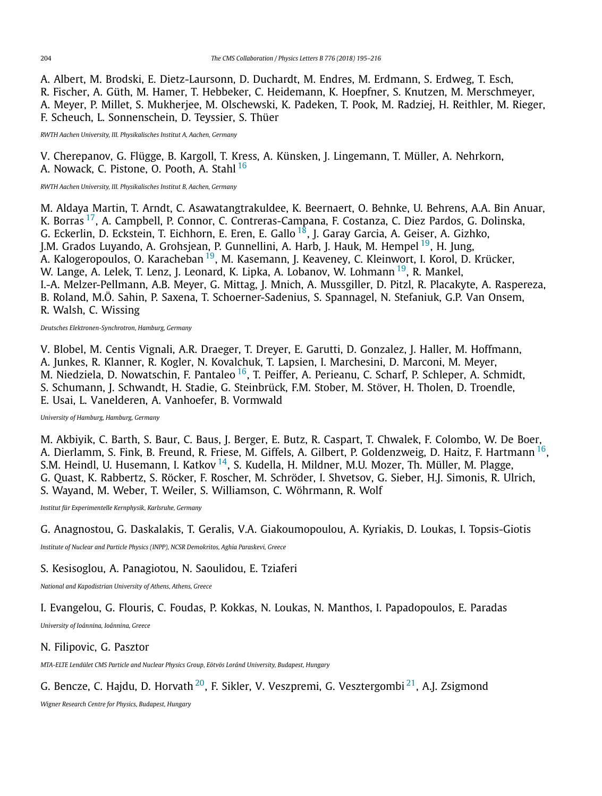A. Albert, M. Brodski, E. Dietz-Laursonn, D. Duchardt, M. Endres, M. Erdmann, S. Erdweg, T. Esch, R. Fischer, A. Güth, M. Hamer, T. Hebbeker, C. Heidemann, K. Hoepfner, S. Knutzen, M. Merschmeyer, A. Meyer, P. Millet, S. Mukherjee, M. Olschewski, K. Padeken, T. Pook, M. Radziej, H. Reithler, M. Rieger, F. Scheuch, L. Sonnenschein, D. Teyssier, S. Thüer

*RWTH Aachen University, III. Physikalisches Institut A, Aachen, Germany*

V. Cherepanov, G. Flügge, B. Kargoll, T. Kress, A. Künsken, J. Lingemann, T. Müller, A. Nehrkorn, A. Nowack, C. Pistone, O. Pooth, A. Stahl [16](#page-20-0)

*RWTH Aachen University, III. Physikalisches Institut B, Aachen, Germany*

M. Aldaya Martin, T. Arndt, C. Asawatangtrakuldee, K. Beernaert, O. Behnke, U. Behrens, A.A. Bin Anuar, K. Borras [17,](#page-20-0) A. Campbell, P. Connor, C. Contreras-Campana, F. Costanza, C. Diez Pardos, G. Dolinska, G. Eckerlin, D. Eckstein, T. Eichhorn, E. Eren, E. Gallo <sup>18</sup>, J. Garay Garcia, A. Geiser, A. Gizhko, J.M. Grados Luyando, A. Grohsjean, P. Gunnellini, A. Harb, J. Hauk, M. Hempel [19,](#page-20-0) H. Jung, A. Kalogeropoulos, O. Karacheban [19,](#page-20-0) M. Kasemann, J. Keaveney, C. Kleinwort, I. Korol, D. Krücker, W. Lange, A. Lelek, T. Lenz, J. Leonard, K. Lipka, A. Lobanov, W. Lohmann <sup>19</sup>, R. Mankel, I.-A. Melzer-Pellmann, A.B. Meyer, G. Mittag, J. Mnich, A. Mussgiller, D. Pitzl, R. Placakyte, A. Raspereza, B. Roland, M.Ö. Sahin, P. Saxena, T. Schoerner-Sadenius, S. Spannagel, N. Stefaniuk, G.P. Van Onsem, R. Walsh, C. Wissing

*Deutsches Elektronen-Synchrotron, Hamburg, Germany*

V. Blobel, M. Centis Vignali, A.R. Draeger, T. Dreyer, E. Garutti, D. Gonzalez, J. Haller, M. Hoffmann, A. Junkes, R. Klanner, R. Kogler, N. Kovalchuk, T. Lapsien, I. Marchesini, D. Marconi, M. Meyer, M. Niedziela, D. Nowatschin, F. Pantaleo [16,](#page-20-0) T. Peiffer, A. Perieanu, C. Scharf, P. Schleper, A. Schmidt, S. Schumann, J. Schwandt, H. Stadie, G. Steinbrück, F.M. Stober, M. Stöver, H. Tholen, D. Troendle, E. Usai, L. Vanelderen, A. Vanhoefer, B. Vormwald

*University of Hamburg, Hamburg, Germany*

M. Akbiyik, C. Barth, S. Baur, C. Baus, J. Berger, E. Butz, R. Caspart, T. Chwalek, F. Colombo, W. De Boer, A. Dierlamm, S. Fink, B. Freund, R. Friese, M. Giffels, A. Gilbert, P. Goldenzweig, D. Haitz, F. Hartmann [16,](#page-20-0) S.M. Heindl, U. Husemann, I. Katkov <sup>14</sup>, S. Kudella, H. Mildner, M.U. Mozer, Th. Müller, M. Plagge, G. Quast, K. Rabbertz, S. Röcker, F. Roscher, M. Schröder, I. Shvetsov, G. Sieber, H.J. Simonis, R. Ulrich, S. Wayand, M. Weber, T. Weiler, S. Williamson, C. Wöhrmann, R. Wolf

*Institut für Experimentelle Kernphysik, Karlsruhe, Germany*

G. Anagnostou, G. Daskalakis, T. Geralis, V.A. Giakoumopoulou, A. Kyriakis, D. Loukas, I. Topsis-Giotis

*Institute of Nuclear and Particle Physics (INPP), NCSR Demokritos, Aghia Paraskevi, Greece*

S. Kesisoglou, A. Panagiotou, N. Saoulidou, E. Tziaferi

*National and Kapodistrian University of Athens, Athens, Greece*

I. Evangelou, G. Flouris, C. Foudas, P. Kokkas, N. Loukas, N. Manthos, I. Papadopoulos, E. Paradas

*University of Ioánnina, Ioánnina, Greece*

N. Filipovic, G. Pasztor

*MTA-ELTE Lendület CMS Particle and Nuclear Physics Group, Eötvös Loránd University, Budapest, Hungary*

G. Bencze, C. Hajdu, D. Horvath  $20$ , F. Sikler, V. Veszpremi, G. Vesztergombi  $21$ , A.J. Zsigmond

*Wigner Research Centre for Physics, Budapest, Hungary*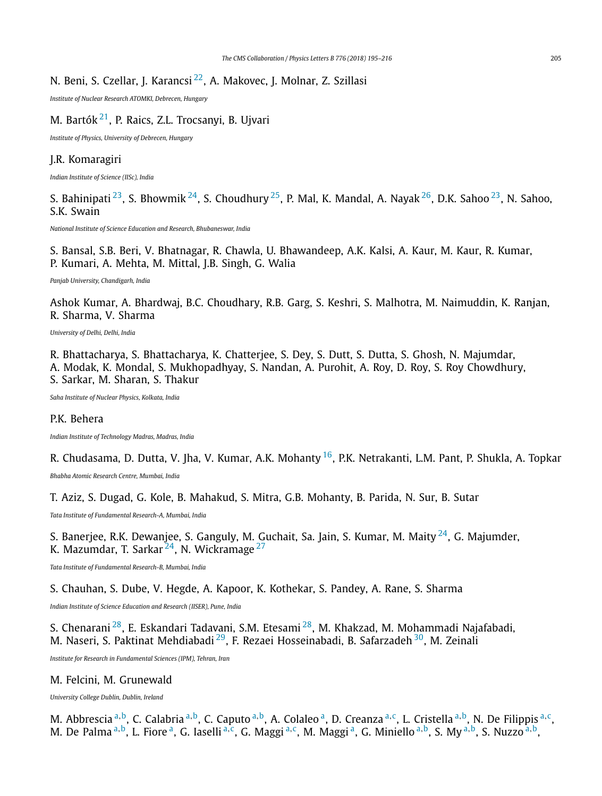# N. Beni, S. Czellar, J. Karancsi [22,](#page-20-0) A. Makovec, J. Molnar, Z. Szillasi

*Institute of Nuclear Research ATOMKI, Debrecen, Hungary*

# M. Bartók [21,](#page-20-0) P. Raics, Z.L. Trocsanyi, B. Ujvari

*Institute of Physics, University of Debrecen, Hungary*

#### J.R. Komaragiri

*Indian Institute of Science (IISc), India*

S. Bahinipati <sup>[23](#page-20-0)</sup>, S. Bhowmik <sup>24</sup>, S. Choudhury <sup>25</sup>, P. Mal, K. Mandal, A. Nayak <sup>26</sup>, D.K. Sahoo <sup>23</sup>, N. Sahoo, S.K. Swain

*National Institute of Science Education and Research, Bhubaneswar, India*

S. Bansal, S.B. Beri, V. Bhatnagar, R. Chawla, U. Bhawandeep, A.K. Kalsi, A. Kaur, M. Kaur, R. Kumar, P. Kumari, A. Mehta, M. Mittal, J.B. Singh, G. Walia

*Panjab University, Chandigarh, India*

Ashok Kumar, A. Bhardwaj, B.C. Choudhary, R.B. Garg, S. Keshri, S. Malhotra, M. Naimuddin, K. Ranjan, R. Sharma, V. Sharma

*University of Delhi, Delhi, India*

R. Bhattacharya, S. Bhattacharya, K. Chatterjee, S. Dey, S. Dutt, S. Dutta, S. Ghosh, N. Majumdar, A. Modak, K. Mondal, S. Mukhopadhyay, S. Nandan, A. Purohit, A. Roy, D. Roy, S. Roy Chowdhury, S. Sarkar, M. Sharan, S. Thakur

*Saha Institute of Nuclear Physics, Kolkata, India*

#### P.K. Behera

*Indian Institute of Technology Madras, Madras, India*

R. Chudasama, D. Dutta, V. Jha, V. Kumar, A.K. Mohanty <sup>16</sup>, P.K. Netrakanti, L.M. Pant, P. Shukla, A. Topkar *Bhabha Atomic Research Centre, Mumbai, India*

T. Aziz, S. Dugad, G. Kole, B. Mahakud, S. Mitra, G.B. Mohanty, B. Parida, N. Sur, B. Sutar

*Tata Institute of Fundamental Research-A, Mumbai, India*

S. Banerjee, R.K. Dewanjee, S. Ganguly, M. Guchait, Sa. Jain, S. Kumar, M. Maity <sup>[24](#page-20-0)</sup>, G. Majumder, K. Mazumdar, T. Sarkar  $^{24}$  $^{24}$  $^{24}$ , N. Wickramage  $^{27}$  $^{27}$  $^{27}$ 

*Tata Institute of Fundamental Research-B, Mumbai, India*

S. Chauhan, S. Dube, V. Hegde, A. Kapoor, K. Kothekar, S. Pandey, A. Rane, S. Sharma

*Indian Institute of Science Education and Research (IISER), Pune, India*

S. Chenarani [28,](#page-20-0) E. Eskandari Tadavani, S.M. Etesami [28,](#page-20-0) M. Khakzad, M. Mohammadi Najafabadi, M. Naseri, S. Paktinat Mehdiabadi [29,](#page-20-0) F. Rezaei Hosseinabadi, B. Safarzadeh [30,](#page-20-0) M. Zeinali

*Institute for Research in Fundamental Sciences (IPM), Tehran, Iran*

#### M. Felcini, M. Grunewald

*University College Dublin, Dublin, Ireland*

M. Abbrescia [a](#page-11-0)*,*[b,](#page-11-0) C. Calabria [a](#page-11-0)*,*[b,](#page-11-0) C. Caputo [a](#page-11-0)*,*[b,](#page-11-0) A. Colaleo [a,](#page-11-0) D. Creanza [a](#page-11-0)*,*[c,](#page-11-0) L. Cristella [a](#page-11-0)*,*[b,](#page-11-0) N. De Filippis [a](#page-11-0)*,*[c,](#page-11-0) M. De Palma [a](#page-11-0)*,*[b,](#page-11-0) L. Fiore [a,](#page-11-0) G. Iaselli [a](#page-11-0)*,*[c,](#page-11-0) G. Maggi [a](#page-11-0)*,*[c,](#page-11-0) M. Maggi [a,](#page-11-0) G. Miniello [a](#page-11-0)*,*[b,](#page-11-0) S. My [a](#page-11-0)*,*[b,](#page-11-0) S. Nuzzo [a](#page-11-0)*,*[b,](#page-11-0)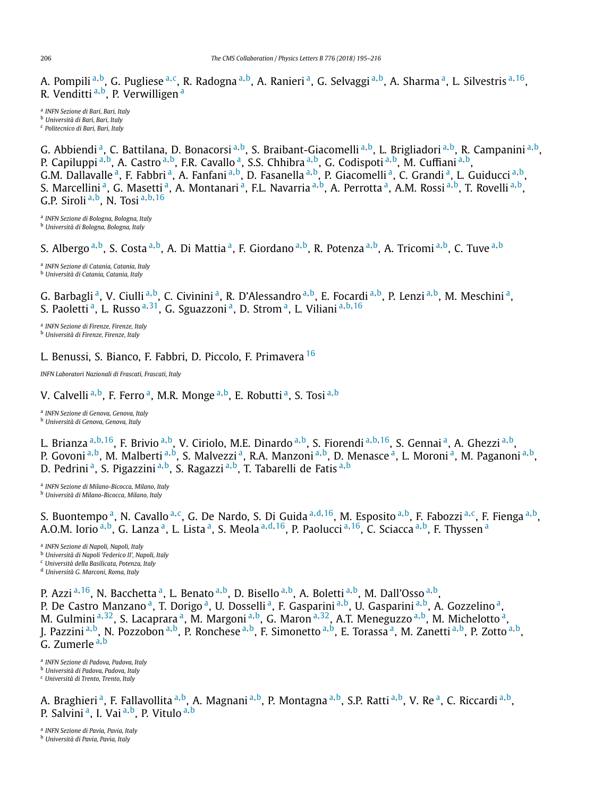<span id="page-11-0"></span>A. Pompili <sup>a</sup>*,*b, G. Pugliese <sup>a</sup>*,*c, R. Radogna <sup>a</sup>*,*b, A. Ranieri a, G. Selvaggi <sup>a</sup>*,*b, A. Sharma a, L. Silvestris <sup>a</sup>*,*[16,](#page-20-0) R. Venditti <sup>a</sup>*,*b, P. Verwilligen <sup>a</sup>

<sup>a</sup> *INFN Sezione di Bari, Bari, Italy* <sup>b</sup> *Università di Bari, Bari, Italy* <sup>c</sup> *Politecnico di Bari, Bari, Italy*

G. Abbiendi a, C. Battilana, D. Bonacorsi <sup>a</sup>*,*b, S. Braibant-Giacomelli <sup>a</sup>*,*b, L. Brigliadori <sup>a</sup>*,*b, R. Campanini <sup>a</sup>*,*b, P. Capiluppi <sup>a</sup>*,*b, A. Castro <sup>a</sup>*,*b, F.R. Cavallo a, S.S. Chhibra <sup>a</sup>*,*b, G. Codispoti <sup>a</sup>*,*b, M. Cuffiani <sup>a</sup>*,*b, G.M. Dallavalle a, F. Fabbri a, A. Fanfani <sup>a</sup>*,*b, D. Fasanella <sup>a</sup>*,*b, P. Giacomelli a, C. Grandi a, L. Guiducci <sup>a</sup>*,*b, S. Marcellini a, G. Masetti a, A. Montanari a, F.L. Navarria <sup>a</sup>*,*b, A. Perrotta a, A.M. Rossi <sup>a</sup>*,*b, T. Rovelli <sup>a</sup>*,*b, G.P. Siroli <sup>a</sup>*,*b, N. Tosi <sup>a</sup>*,*b*,*[16](#page-20-0)

<sup>a</sup> *INFN Sezione di Bologna, Bologna, Italy* <sup>b</sup> *Università di Bologna, Bologna, Italy*

S. Albergo <sup>a</sup>*,*b, S. Costa <sup>a</sup>*,*b, A. Di Mattia a, F. Giordano <sup>a</sup>*,*b, R. Potenza <sup>a</sup>*,*b, A. Tricomi <sup>a</sup>*,*b, C. Tuve <sup>a</sup>*,*<sup>b</sup>

<sup>a</sup> *INFN Sezione di Catania, Catania, Italy*

<sup>b</sup> *Università di Catania, Catania, Italy*

G. Barbagli a, V. Ciulli <sup>a</sup>*,*b, C. Civinini a, R. D'Alessandro <sup>a</sup>*,*b, E. Focardi <sup>a</sup>*,*b, P. Lenzi <sup>a</sup>*,*b, M. Meschini a, S. Paoletti a, L. Russo <sup>a</sup>*,*[31](#page-21-0), G. Sguazzoni a, D. Strom a, L. Viliani <sup>a</sup>*,*b*,*[16](#page-20-0)

<sup>a</sup> *INFN Sezione di Firenze, Firenze, Italy* <sup>b</sup> *Università di Firenze, Firenze, Italy*

#### L. Benussi, S. Bianco, F. Fabbri, D. Piccolo, F. Primavera [16](#page-20-0)

*INFN Laboratori Nazionali di Frascati, Frascati, Italy*

V. Calvelli<sup>a,b</sup>, F. Ferro<sup>a</sup>, M.R. Monge<sup>a,b</sup>, E. Robutti<sup>a</sup>, S. Tosi<sup>a,b</sup>

<sup>a</sup> *INFN Sezione di Genova, Genova, Italy*

<sup>b</sup> *Università di Genova, Genova, Italy*

L. Brianza <sup>a</sup>*,*b*,*[16,](#page-20-0) F. Brivio <sup>a</sup>*,*b, V. Ciriolo, M.E. Dinardo <sup>a</sup>*,*b, S. Fiorendi <sup>a</sup>*,*b*,*[16](#page-20-0), S. Gennai a, A. Ghezzi <sup>a</sup>*,*b, P. Govoni <sup>a</sup>*,*b, M. Malberti <sup>a</sup>*,*b, S. Malvezzi a, R.A. Manzoni <sup>a</sup>*,*b, D. Menasce a, L. Moroni a, M. Paganoni <sup>a</sup>*,*b, D. Pedrini a, S. Pigazzini <sup>a</sup>*,*b, S. Ragazzi <sup>a</sup>*,*b, T. Tabarelli de Fatis <sup>a</sup>*,*<sup>b</sup>

<sup>a</sup> *INFN Sezione di Milano-Bicocca, Milano, Italy* <sup>b</sup> *Università di Milano-Bicocca, Milano, Italy*

S. Buontempo a, N. Cavallo <sup>a</sup>*,*c, G. De Nardo, S. Di Guida <sup>a</sup>*,*d*,*[16,](#page-20-0) M. Esposito <sup>a</sup>*,*b, F. Fabozzi <sup>a</sup>*,*c, F. Fienga <sup>a</sup>*,*b, A.O.M. Iorio <sup>a</sup>*,*b, G. Lanza a, L. Lista a, S. Meola <sup>a</sup>*,*d*,*[16,](#page-20-0) P. Paolucci <sup>a</sup>*,*[16,](#page-20-0) C. Sciacca <sup>a</sup>*,*b, F. Thyssen <sup>a</sup>

<sup>a</sup> *INFN Sezione di Napoli, Napoli, Italy*

<sup>b</sup> *Università di Napoli 'Federico II', Napoli, Italy*

<sup>c</sup> *Università della Basilicata, Potenza, Italy*

<sup>d</sup> *Università G. Marconi, Roma, Italy*

P. Azzi <sup>a</sup>*,*[16,](#page-20-0) N. Bacchetta a, L. Benato <sup>a</sup>*,*b, D. Bisello <sup>a</sup>*,*b, A. Boletti <sup>a</sup>*,*b, M. Dall'Osso <sup>a</sup>*,*b, P. De Castro Manzano<sup>a</sup>, T. Dorigo<sup>a</sup>, U. Dosselli<sup>a</sup>, F. Gasparini<sup>a,b</sup>, U. Gasparini<sup>a,b</sup>, A. Gozzelino<sup>a</sup>, M. Gulmini <sup>a</sup>*,*[32,](#page-21-0) S. Lacaprara a, M. Margoni <sup>a</sup>*,*b, G. Maron <sup>a</sup>*,*[32,](#page-21-0) A.T. Meneguzzo <sup>a</sup>*,*b, M. Michelotto a, J. Pazzini <sup>a</sup>*,*b, N. Pozzobon <sup>a</sup>*,*b, P. Ronchese <sup>a</sup>*,*b, F. Simonetto <sup>a</sup>*,*b, E. Torassa a, M. Zanetti <sup>a</sup>*,*b, P. Zotto <sup>a</sup>*,*b, G. Zumerle <sup>a</sup>*,*<sup>b</sup>

<sup>a</sup> *INFN Sezione di Padova, Padova, Italy*

<sup>b</sup> *Università di Padova, Padova, Italy*

<sup>c</sup> *Università di Trento, Trento, Italy*

```
A. Braghieri a, F. Fallavollita a,b, A. Magnani a,b, P. Montagna a,b, S.P. Ratti a,b, V. Re a, C. Riccardi a,b,
P. Salvini a, I. Vai a,b, P. Vitulo a,b
```
<sup>a</sup> *INFN Sezione di Pavia, Pavia, Italy*

<sup>b</sup> *Università di Pavia, Pavia, Italy*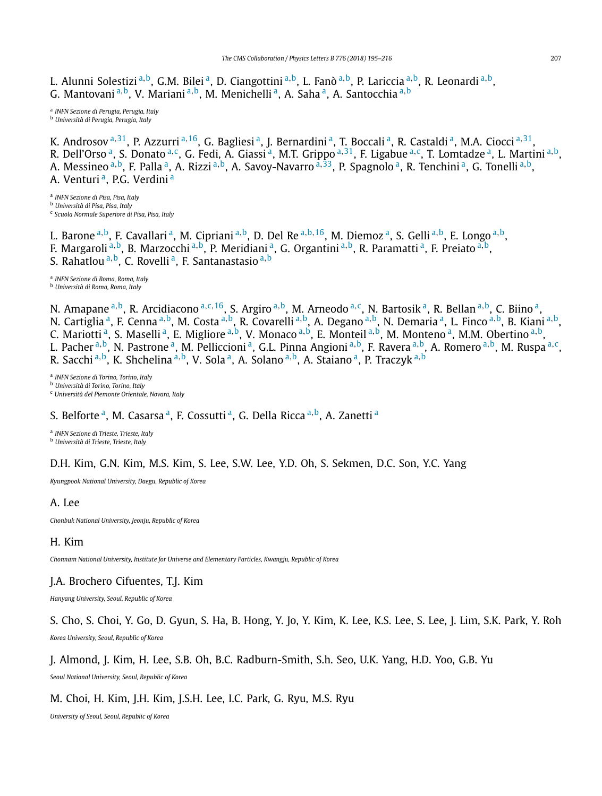L. Alunni Solestizi <sup>a</sup>*,*b, G.M. Bilei a, D. Ciangottini <sup>a</sup>*,*b, L. Fanò <sup>a</sup>*,*b, P. Lariccia <sup>a</sup>*,*b, R. Leonardi <sup>a</sup>*,*b, G. Mantovani <sup>a</sup>*,*b, V. Mariani <sup>a</sup>*,*b, M. Menichelli a, A. Saha a, A. Santocchia <sup>a</sup>*,*<sup>b</sup>

<sup>a</sup> *INFN Sezione di Perugia, Perugia, Italy* <sup>b</sup> *Università di Perugia, Perugia, Italy*

K. Androsov a<sup>,31</sup>, P. Azzurri a, <sup>16</sup>, G. Bagliesi <sup>a</sup>, J. Bernardini <sup>a</sup>, T. Boccali <sup>a</sup>, R. Castaldi <sup>a</sup>, M.A. Ciocci <sup>a, 31</sup>, R. Dell'Orso a, S. Donato <sup>a</sup>*,*c, G. Fedi, A. Giassi a, M.T. Grippo <sup>a</sup>*,*[31,](#page-21-0) F. Ligabue <sup>a</sup>*,*c, T. Lomtadze a, L. Martini <sup>a</sup>*,*b, A. Messineo <sup>a</sup>*,*b, F. Palla a, A. Rizzi <sup>a</sup>*,*b, A. Savoy-Navarro <sup>a</sup>*,*[33,](#page-21-0) P. Spagnolo a, R. Tenchini a, G. Tonelli <sup>a</sup>*,*b, A. Venturi<sup>a</sup>, P.G. Verdini<sup>a</sup>

<sup>a</sup> *INFN Sezione di Pisa, Pisa, Italy*

<sup>b</sup> *Università di Pisa, Pisa, Italy* <sup>c</sup> *Scuola Normale Superiore di Pisa, Pisa, Italy*

L. Barone <sup>a</sup>*,*b, F. Cavallari a, M. Cipriani <sup>a</sup>*,*b, D. Del Re <sup>a</sup>*,*b*,*[16,](#page-20-0) M. Diemoz a, S. Gelli <sup>a</sup>*,*b, E. Longo <sup>a</sup>*,*b, F. Margaroli <sup>a</sup>*,*b, B. Marzocchi <sup>a</sup>*,*b, P. Meridiani a, G. Organtini <sup>a</sup>*,*b, R. Paramatti a, F. Preiato <sup>a</sup>*,*b, S. Rahatlou <sup>a</sup>*,*b, C. Rovelli a, F. Santanastasio <sup>a</sup>*,*<sup>b</sup>

<sup>a</sup> *INFN Sezione di Roma, Roma, Italy*

<sup>b</sup> *Università di Roma, Roma, Italy*

N. Amapane <sup>a</sup>*,*b, R. Arcidiacono <sup>a</sup>*,*c*,*[16,](#page-20-0) S. Argiro <sup>a</sup>*,*b, M. Arneodo <sup>a</sup>*,*c, N. Bartosik a, R. Bellan <sup>a</sup>*,*b, C. Biino a, N. Cartiglia a, F. Cenna <sup>a</sup>*,*b, M. Costa <sup>a</sup>*,*b, R. Covarelli <sup>a</sup>*,*b, A. Degano <sup>a</sup>*,*b, N. Demaria a, L. Finco <sup>a</sup>*,*b, B. Kiani <sup>a</sup>*,*b, C. Mariotti<sup>a</sup>, S. Maselli<sup>a</sup>, E. Migliore<sup>a,b</sup>, V. Monaco<sup>a,b</sup>, E. Monteil<sup>a,b</sup>, M. Monteno<sup>a</sup>, M.M. Obertino<sup>a,b</sup>, L. Pacher <sup>a</sup>*,*b, N. Pastrone a, M. Pelliccioni a, G.L. Pinna Angioni <sup>a</sup>*,*b, F. Ravera <sup>a</sup>*,*b, A. Romero <sup>a</sup>*,*b, M. Ruspa <sup>a</sup>*,*c, R. Sacchi <sup>a</sup>*,*b, K. Shchelina <sup>a</sup>*,*b, V. Sola a, A. Solano <sup>a</sup>*,*b, A. Staiano a, P. Traczyk <sup>a</sup>*,*<sup>b</sup>

<sup>a</sup> *INFN Sezione di Torino, Torino, Italy*

<sup>b</sup> *Università di Torino, Torino, Italy*

<sup>c</sup> *Università del Piemonte Orientale, Novara, Italy*

#### S. Belforte<sup>a</sup>, M. Casarsa<sup>a</sup>, F. Cossutti<sup>a</sup>, G. Della Ricca<sup>a,b</sup>, A. Zanetti<sup>a</sup>

<sup>a</sup> *INFN Sezione di Trieste, Trieste, Italy* <sup>b</sup> *Università di Trieste, Trieste, Italy*

#### D.H. Kim, G.N. Kim, M.S. Kim, S. Lee, S.W. Lee, Y.D. Oh, S. Sekmen, D.C. Son, Y.C. Yang

*Kyungpook National University, Daegu, Republic of Korea*

#### A. Lee

*Chonbuk National University, Jeonju, Republic of Korea*

#### H. Kim

*Chonnam National University, Institute for Universe and Elementary Particles, Kwangju, Republic of Korea*

# J.A. Brochero Cifuentes, T.J. Kim

*Hanyang University, Seoul, Republic of Korea*

S. Cho, S. Choi, Y. Go, D. Gyun, S. Ha, B. Hong, Y. Jo, Y. Kim, K. Lee, K.S. Lee, S. Lee, J. Lim, S.K. Park, Y. Roh *Korea University, Seoul, Republic of Korea*

#### J. Almond, J. Kim, H. Lee, S.B. Oh, B.C. Radburn-Smith, S.h. Seo, U.K. Yang, H.D. Yoo, G.B. Yu

*Seoul National University, Seoul, Republic of Korea*

## M. Choi, H. Kim, J.H. Kim, J.S.H. Lee, I.C. Park, G. Ryu, M.S. Ryu

*University of Seoul, Seoul, Republic of Korea*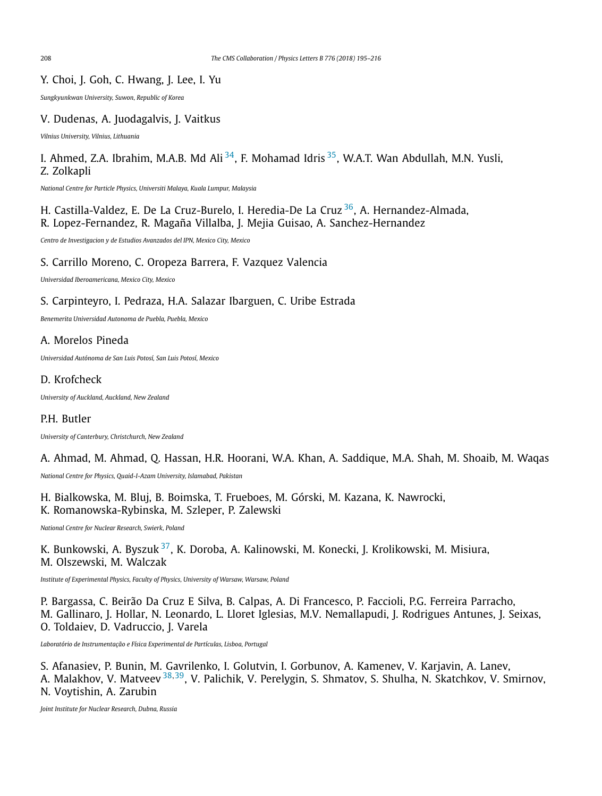#### Y. Choi, J. Goh, C. Hwang, J. Lee, I. Yu

*Sungkyunkwan University, Suwon, Republic of Korea*

#### V. Dudenas, A. Juodagalvis, J. Vaitkus

*Vilnius University, Vilnius, Lithuania*

# I. Ahmed, Z.A. Ibrahim, M.A.B. Md Ali  $^{34}$ , F. Mohamad Idris  $^{35}$  $^{35}$  $^{35}$ , W.A.T. Wan Abdullah, M.N. Yusli, Z. Zolkapli

*National Centre for Particle Physics, Universiti Malaya, Kuala Lumpur, Malaysia*

# H. Castilla-Valdez, E. De La Cruz-Burelo, I. Heredia-De La Cruz<sup>36</sup>, A. Hernandez-Almada, R. Lopez-Fernandez, R. Magaña Villalba, J. Mejia Guisao, A. Sanchez-Hernandez

*Centro de Investigacion y de Estudios Avanzados del IPN, Mexico City, Mexico*

#### S. Carrillo Moreno, C. Oropeza Barrera, F. Vazquez Valencia

*Universidad Iberoamericana, Mexico City, Mexico*

#### S. Carpinteyro, I. Pedraza, H.A. Salazar Ibarguen, C. Uribe Estrada

*Benemerita Universidad Autonoma de Puebla, Puebla, Mexico*

#### A. Morelos Pineda

*Universidad Autónoma de San Luis Potosí, San Luis Potosí, Mexico*

#### D. Krofcheck

*University of Auckland, Auckland, New Zealand*

#### P.H. Butler

*University of Canterbury, Christchurch, New Zealand*

A. Ahmad, M. Ahmad, Q. Hassan, H.R. Hoorani, W.A. Khan, A. Saddique, M.A. Shah, M. Shoaib, M. Waqas

*National Centre for Physics, Quaid-I-Azam University, Islamabad, Pakistan*

H. Bialkowska, M. Bluj, B. Boimska, T. Frueboes, M. Górski, M. Kazana, K. Nawrocki, K. Romanowska-Rybinska, M. Szleper, P. Zalewski

*National Centre for Nuclear Research, Swierk, Poland*

K. Bunkowski, A. Byszuk<sup>[37](#page-21-0)</sup>, K. Doroba, A. Kalinowski, M. Konecki, J. Krolikowski, M. Misiura, M. Olszewski, M. Walczak

*Institute of Experimental Physics, Faculty of Physics, University of Warsaw, Warsaw, Poland*

P. Bargassa, C. Beirão Da Cruz E Silva, B. Calpas, A. Di Francesco, P. Faccioli, P.G. Ferreira Parracho, M. Gallinaro, J. Hollar, N. Leonardo, L. Lloret Iglesias, M.V. Nemallapudi, J. Rodrigues Antunes, J. Seixas, O. Toldaiev, D. Vadruccio, J. Varela

*Laboratório de Instrumentação e Física Experimental de Partículas, Lisboa, Portugal*

S. Afanasiev, P. Bunin, M. Gavrilenko, I. Golutvin, I. Gorbunov, A. Kamenev, V. Karjavin, A. Lanev, A. Malakhov, V. Matveev [38](#page-21-0)*,*[39,](#page-21-0) V. Palichik, V. Perelygin, S. Shmatov, S. Shulha, N. Skatchkov, V. Smirnov, N. Voytishin, A. Zarubin

*Joint Institute for Nuclear Research, Dubna, Russia*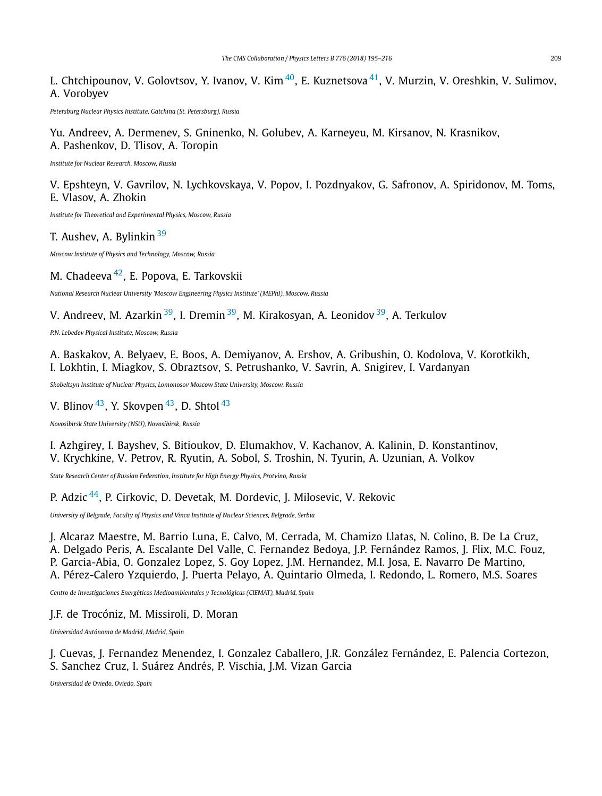# L. Chtchipounov, V. Golovtsov, Y. Ivanov, V. Kim<sup>40</sup>, E. Kuznetsova<sup>41</sup>, V. Murzin, V. Oreshkin, V. Sulimov, A. Vorobyev

*Petersburg Nuclear Physics Institute, Gatchina (St. Petersburg), Russia*

#### Yu. Andreev, A. Dermenev, S. Gninenko, N. Golubev, A. Karneyeu, M. Kirsanov, N. Krasnikov, A. Pashenkov, D. Tlisov, A. Toropin

*Institute for Nuclear Research, Moscow, Russia*

## V. Epshteyn, V. Gavrilov, N. Lychkovskaya, V. Popov, I. Pozdnyakov, G. Safronov, A. Spiridonov, M. Toms, E. Vlasov, A. Zhokin

*Institute for Theoretical and Experimental Physics, Moscow, Russia*

#### T. Aushey, A. Bylinkin [39](#page-21-0)

*Moscow Institute of Physics and Technology, Moscow, Russia*

# M. Chadeeva [42,](#page-21-0) E. Popova, E. Tarkovskii

*National Research Nuclear University 'Moscow Engineering Physics Institute' (MEPhI), Moscow, Russia*

# V. Andreev, M. Azarkin [39](#page-21-0), I. Dremin [39,](#page-21-0) M. Kirakosyan, A. Leonidov [39,](#page-21-0) A. Terkulov

*P.N. Lebedev Physical Institute, Moscow, Russia*

A. Baskakov, A. Belyaev, E. Boos, A. Demiyanov, A. Ershov, A. Gribushin, O. Kodolova, V. Korotkikh, I. Lokhtin, I. Miagkov, S. Obraztsov, S. Petrushanko, V. Savrin, A. Snigirev, I. Vardanyan

*Skobeltsyn Institute of Nuclear Physics, Lomonosov Moscow State University, Moscow, Russia*

## V. Blinov<sup>[43](#page-21-0)</sup>, Y. Skovpen<sup>43</sup>, D. Shtol<sup>43</sup>

*Novosibirsk State University (NSU), Novosibirsk, Russia*

I. Azhgirey, I. Bayshev, S. Bitioukov, D. Elumakhov, V. Kachanov, A. Kalinin, D. Konstantinov, V. Krychkine, V. Petrov, R. Ryutin, A. Sobol, S. Troshin, N. Tyurin, A. Uzunian, A. Volkov

*State Research Center of Russian Federation, Institute for High Energy Physics, Protvino, Russia*

# P. Adzic [44,](#page-21-0) P. Cirkovic, D. Devetak, M. Dordevic, J. Milosevic, V. Rekovic

*University of Belgrade, Faculty of Physics and Vinca Institute of Nuclear Sciences, Belgrade, Serbia*

J. Alcaraz Maestre, M. Barrio Luna, E. Calvo, M. Cerrada, M. Chamizo Llatas, N. Colino, B. De La Cruz, A. Delgado Peris, A. Escalante Del Valle, C. Fernandez Bedoya, J.P. Fernández Ramos, J. Flix, M.C. Fouz, P. Garcia-Abia, O. Gonzalez Lopez, S. Goy Lopez, J.M. Hernandez, M.I. Josa, E. Navarro De Martino, A. Pérez-Calero Yzquierdo, J. Puerta Pelayo, A. Quintario Olmeda, I. Redondo, L. Romero, M.S. Soares

*Centro de Investigaciones Energéticas Medioambientales y Tecnológicas (CIEMAT), Madrid, Spain*

#### J.F. de Trocóniz, M. Missiroli, D. Moran

*Universidad Autónoma de Madrid, Madrid, Spain*

J. Cuevas, J. Fernandez Menendez, I. Gonzalez Caballero, J.R. González Fernández, E. Palencia Cortezon, S. Sanchez Cruz, I. Suárez Andrés, P. Vischia, J.M. Vizan Garcia

*Universidad de Oviedo, Oviedo, Spain*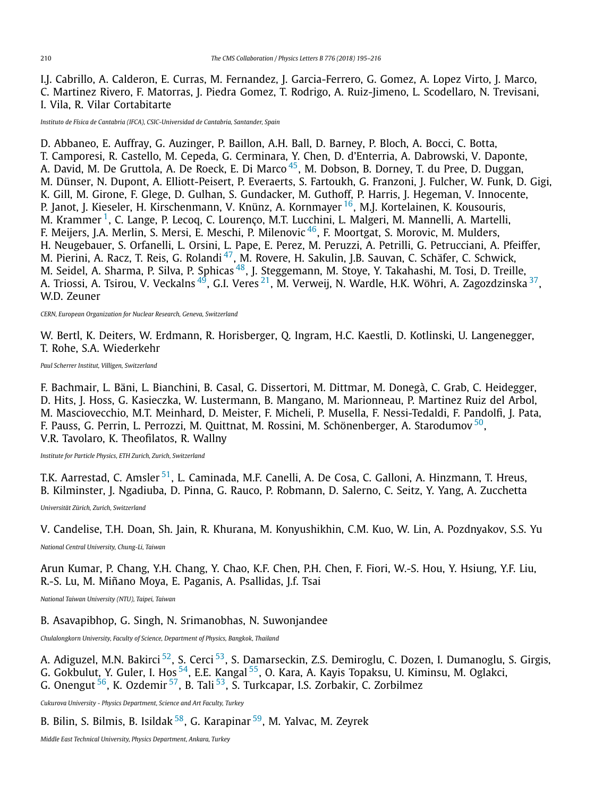I.J. Cabrillo, A. Calderon, E. Curras, M. Fernandez, J. Garcia-Ferrero, G. Gomez, A. Lopez Virto, J. Marco, C. Martinez Rivero, F. Matorras, J. Piedra Gomez, T. Rodrigo, A. Ruiz-Jimeno, L. Scodellaro, N. Trevisani, I. Vila, R. Vilar Cortabitarte

*Instituto de Física de Cantabria (IFCA), CSIC-Universidad de Cantabria, Santander, Spain*

D. Abbaneo, E. Auffray, G. Auzinger, P. Baillon, A.H. Ball, D. Barney, P. Bloch, A. Bocci, C. Botta, T. Camporesi, R. Castello, M. Cepeda, G. Cerminara, Y. Chen, D. d'Enterria, A. Dabrowski, V. Daponte, A. David, M. De Gruttola, A. De Roeck, E. Di Marco [45,](#page-21-0) M. Dobson, B. Dorney, T. du Pree, D. Duggan, M. Dünser, N. Dupont, A. Elliott-Peisert, P. Everaerts, S. Fartoukh, G. Franzoni, J. Fulcher, W. Funk, D. Gigi, K. Gill, M. Girone, F. Glege, D. Gulhan, S. Gundacker, M. Guthoff, P. Harris, J. Hegeman, V. Innocente, P. Janot, J. Kieseler, H. Kirschenmann, V. Knünz, A. Kornmayer [16](#page-20-0), M.J. Kortelainen, K. Kousouris, M. Krammer<sup>1</sup>, C. Lange, P. Lecoq, C. Lourenço, M.T. Lucchini, L. Malgeri, M. Mannelli, A. Martelli, F. Meijers, J.A. Merlin, S. Mersi, E. Meschi, P. Milenovic [46](#page-21-0), F. Moortgat, S. Morovic, M. Mulders, H. Neugebauer, S. Orfanelli, L. Orsini, L. Pape, E. Perez, M. Peruzzi, A. Petrilli, G. Petrucciani, A. Pfeiffer, M. Pierini, A. Racz, T. Reis, G. Rolandi [47](#page-21-0), M. Rovere, H. Sakulin, J.B. Sauvan, C. Schäfer, C. Schwick, M. Seidel, A. Sharma, P. Silva, P. Sphicas <sup>48</sup>, J. Steggemann, M. Stoye, Y. Takahashi, M. Tosi, D. Treille, A. Triossi, A. Tsirou, V. Veckalns <sup>[49](#page-21-0)</sup>, G.I. Veres <sup>21</sup>, M. Verweij, N. Wardle, H.K. Wöhri, A. Zagozdzinska <sup>37</sup>, W.D. Zeuner

*CERN, European Organization for Nuclear Research, Geneva, Switzerland*

W. Bertl, K. Deiters, W. Erdmann, R. Horisberger, Q. Ingram, H.C. Kaestli, D. Kotlinski, U. Langenegger, T. Rohe, S.A. Wiederkehr

*Paul Scherrer Institut, Villigen, Switzerland*

F. Bachmair, L. Bäni, L. Bianchini, B. Casal, G. Dissertori, M. Dittmar, M. Donegà, C. Grab, C. Heidegger, D. Hits, J. Hoss, G. Kasieczka, W. Lustermann, B. Mangano, M. Marionneau, P. Martinez Ruiz del Arbol, M. Masciovecchio, M.T. Meinhard, D. Meister, F. Micheli, P. Musella, F. Nessi-Tedaldi, F. Pandolfi, J. Pata, F. Pauss, G. Perrin, L. Perrozzi, M. Quittnat, M. Rossini, M. Schönenberger, A. Starodumov<sup>50</sup>, V.R. Tavolaro, K. Theofilatos, R. Wallny

*Institute for Particle Physics, ETH Zurich, Zurich, Switzerland*

T.K. Aarrestad, C. Amsler<sup>51</sup>, L. Caminada, M.F. Canelli, A. De Cosa, C. Galloni, A. Hinzmann, T. Hreus, B. Kilminster, J. Ngadiuba, D. Pinna, G. Rauco, P. Robmann, D. Salerno, C. Seitz, Y. Yang, A. Zucchetta

*Universität Zürich, Zurich, Switzerland*

V. Candelise, T.H. Doan, Sh. Jain, R. Khurana, M. Konyushikhin, C.M. Kuo, W. Lin, A. Pozdnyakov, S.S. Yu

*National Central University, Chung-Li, Taiwan*

Arun Kumar, P. Chang, Y.H. Chang, Y. Chao, K.F. Chen, P.H. Chen, F. Fiori, W.-S. Hou, Y. Hsiung, Y.F. Liu, R.-S. Lu, M. Miñano Moya, E. Paganis, A. Psallidas, J.f. Tsai

*National Taiwan University (NTU), Taipei, Taiwan*

B. Asavapibhop, G. Singh, N. Srimanobhas, N. Suwonjandee

*Chulalongkorn University, Faculty of Science, Department of Physics, Bangkok, Thailand*

A. Adiguzel, M.N. Bakirci <sup>52</sup>, S. Cerci <sup>53</sup>, S. Damarseckin, Z.S. Demiroglu, C. Dozen, I. Dumanoglu, S. Girgis, G. Gokbulut, Y. Guler, I. Hos <sup>54</sup>, E.E. Kangal <sup>55</sup>, O. Kara, A. Kayis Topaksu, U. Kiminsu, M. Oglakci, G. Onengut <sup>56</sup>, K. Ozdemir <sup>57</sup>, B. Tali <sup>53</sup>, S. Turkcapar, I.S. Zorbakir, C. Zorbilmez

*Cukurova University - Physics Department, Science and Art Faculty, Turkey*

B. Bilin, S. Bilmis, B. Isildak [58,](#page-21-0) G. Karapinar [59,](#page-21-0) M. Yalvac, M. Zeyrek

*Middle East Technical University, Physics Department, Ankara, Turkey*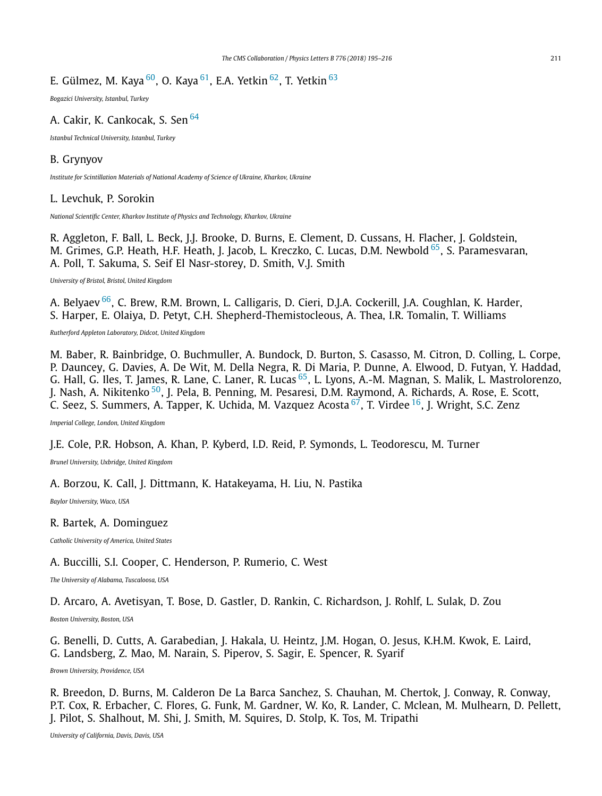# E. Gülmez, M. Kaya  $^{60}$ , O. Kaya  $^{61}$ , E.A. Yetkin  $^{62}$ , T. Yetkin  $^{63}$  $^{63}$  $^{63}$

*Bogazici University, Istanbul, Turkey*

# A. Cakir, K. Cankocak, S. Sen [64](#page-21-0)

*Istanbul Technical University, Istanbul, Turkey*

### B. Grynyov

*Institute for Scintillation Materials of National Academy of Science of Ukraine, Kharkov, Ukraine*

#### L. Levchuk, P. Sorokin

*National Scientific Center, Kharkov Institute of Physics and Technology, Kharkov, Ukraine*

R. Aggleton, F. Ball, L. Beck, J.J. Brooke, D. Burns, E. Clement, D. Cussans, H. Flacher, J. Goldstein, M. Grimes, G.P. Heath, H.F. Heath, J. Jacob, L. Kreczko, C. Lucas, D.M. Newbold <sup>65</sup>, S. Paramesvaran, A. Poll, T. Sakuma, S. Seif El Nasr-storey, D. Smith, V.J. Smith

*University of Bristol, Bristol, United Kingdom*

A. Belyaev<sup>66</sup>, C. Brew, R.M. Brown, L. Calligaris, D. Cieri, D.J.A. Cockerill, J.A. Coughlan, K. Harder, S. Harper, E. Olaiya, D. Petyt, C.H. Shepherd-Themistocleous, A. Thea, I.R. Tomalin, T. Williams

*Rutherford Appleton Laboratory, Didcot, United Kingdom*

M. Baber, R. Bainbridge, O. Buchmuller, A. Bundock, D. Burton, S. Casasso, M. Citron, D. Colling, L. Corpe, P. Dauncey, G. Davies, A. De Wit, M. Della Negra, R. Di Maria, P. Dunne, A. Elwood, D. Futyan, Y. Haddad, G. Hall, G. Iles, T. James, R. Lane, C. Laner, R. Lucas [65,](#page-21-0) L. Lyons, A.-M. Magnan, S. Malik, L. Mastrolorenzo, J. Nash, A. Nikitenko [50,](#page-21-0) J. Pela, B. Penning, M. Pesaresi, D.M. Raymond, A. Richards, A. Rose, E. Scott, C. Seez, S. Summers, A. Tapper, K. Uchida, M. Vazquez Acosta  $^{67}$ , T. Virdee  $^{16}$ , J. Wright, S.C. Zenz

*Imperial College, London, United Kingdom*

J.E. Cole, P.R. Hobson, A. Khan, P. Kyberd, I.D. Reid, P. Symonds, L. Teodorescu, M. Turner

*Brunel University, Uxbridge, United Kingdom*

#### A. Borzou, K. Call, J. Dittmann, K. Hatakeyama, H. Liu, N. Pastika

*Baylor University, Waco, USA*

## R. Bartek, A. Dominguez

*Catholic University of America, United States*

## A. Buccilli, S.I. Cooper, C. Henderson, P. Rumerio, C. West

*The University of Alabama, Tuscaloosa, USA*

D. Arcaro, A. Avetisyan, T. Bose, D. Gastler, D. Rankin, C. Richardson, J. Rohlf, L. Sulak, D. Zou

*Boston University, Boston, USA*

G. Benelli, D. Cutts, A. Garabedian, J. Hakala, U. Heintz, J.M. Hogan, O. Jesus, K.H.M. Kwok, E. Laird, G. Landsberg, Z. Mao, M. Narain, S. Piperov, S. Sagir, E. Spencer, R. Syarif

*Brown University, Providence, USA*

R. Breedon, D. Burns, M. Calderon De La Barca Sanchez, S. Chauhan, M. Chertok, J. Conway, R. Conway, P.T. Cox, R. Erbacher, C. Flores, G. Funk, M. Gardner, W. Ko, R. Lander, C. Mclean, M. Mulhearn, D. Pellett, J. Pilot, S. Shalhout, M. Shi, J. Smith, M. Squires, D. Stolp, K. Tos, M. Tripathi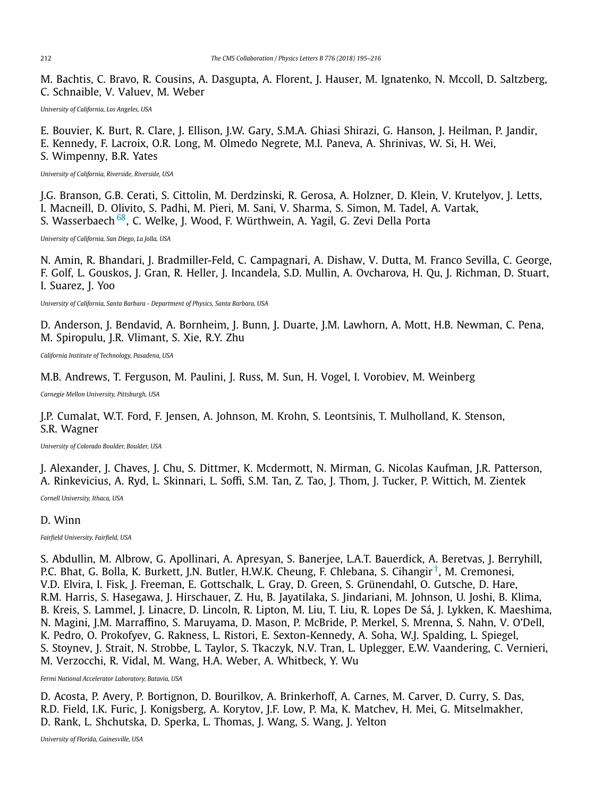M. Bachtis, C. Bravo, R. Cousins, A. Dasgupta, A. Florent, J. Hauser, M. Ignatenko, N. Mccoll, D. Saltzberg, C. Schnaible, V. Valuev, M. Weber

*University of California, Los Angeles, USA*

E. Bouvier, K. Burt, R. Clare, J. Ellison, J.W. Gary, S.M.A. Ghiasi Shirazi, G. Hanson, J. Heilman, P. Jandir, E. Kennedy, F. Lacroix, O.R. Long, M. Olmedo Negrete, M.I. Paneva, A. Shrinivas, W. Si, H. Wei, S. Wimpenny, B.R. Yates

*University of California, Riverside, Riverside, USA*

J.G. Branson, G.B. Cerati, S. Cittolin, M. Derdzinski, R. Gerosa, A. Holzner, D. Klein, V. Krutelyov, J. Letts, I. Macneill, D. Olivito, S. Padhi, M. Pieri, M. Sani, V. Sharma, S. Simon, M. Tadel, A. Vartak, S. Wasserbaech [68](#page-21-0), C. Welke, J. Wood, F. Würthwein, A. Yagil, G. Zevi Della Porta

*University of California, San Diego, La Jolla, USA*

N. Amin, R. Bhandari, J. Bradmiller-Feld, C. Campagnari, A. Dishaw, V. Dutta, M. Franco Sevilla, C. George, F. Golf, L. Gouskos, J. Gran, R. Heller, J. Incandela, S.D. Mullin, A. Ovcharova, H. Qu, J. Richman, D. Stuart, I. Suarez, J. Yoo

*University of California, Santa Barbara - Department of Physics, Santa Barbara, USA*

D. Anderson, J. Bendavid, A. Bornheim, J. Bunn, J. Duarte, J.M. Lawhorn, A. Mott, H.B. Newman, C. Pena, M. Spiropulu, J.R. Vlimant, S. Xie, R.Y. Zhu

*California Institute of Technology, Pasadena, USA*

M.B. Andrews, T. Ferguson, M. Paulini, J. Russ, M. Sun, H. Vogel, I. Vorobiev, M. Weinberg

*Carnegie Mellon University, Pittsburgh, USA*

J.P. Cumalat, W.T. Ford, F. Jensen, A. Johnson, M. Krohn, S. Leontsinis, T. Mulholland, K. Stenson, S.R. Wagner

*University of Colorado Boulder, Boulder, USA*

J. Alexander, J. Chaves, J. Chu, S. Dittmer, K. Mcdermott, N. Mirman, G. Nicolas Kaufman, J.R. Patterson, A. Rinkevicius, A. Ryd, L. Skinnari, L. Soffi, S.M. Tan, Z. Tao, J. Thom, J. Tucker, P. Wittich, M. Zientek

*Cornell University, Ithaca, USA*

#### D. Winn

*Fairfield University, Fairfield, USA*

S. Abdullin, M. Albrow, G. Apollinari, A. Apresyan, S. Banerjee, L.A.T. Bauerdick, A. Beretvas, J. Berryhill, P.C. Bhat, G. Bolla, K. Burkett, J.N. Butler, H.W.K. Cheung, F. Chlebana, S. Cihangir [†,](#page-20-0) M. Cremonesi, V.D. Elvira, I. Fisk, J. Freeman, E. Gottschalk, L. Gray, D. Green, S. Grünendahl, O. Gutsche, D. Hare, R.M. Harris, S. Hasegawa, J. Hirschauer, Z. Hu, B. Jayatilaka, S. Jindariani, M. Johnson, U. Joshi, B. Klima, B. Kreis, S. Lammel, J. Linacre, D. Lincoln, R. Lipton, M. Liu, T. Liu, R. Lopes De Sá, J. Lykken, K. Maeshima, N. Magini, J.M. Marraffino, S. Maruyama, D. Mason, P. McBride, P. Merkel, S. Mrenna, S. Nahn, V. O'Dell, K. Pedro, O. Prokofyev, G. Rakness, L. Ristori, E. Sexton-Kennedy, A. Soha, W.J. Spalding, L. Spiegel, S. Stoynev, J. Strait, N. Strobbe, L. Taylor, S. Tkaczyk, N.V. Tran, L. Uplegger, E.W. Vaandering, C. Vernieri, M. Verzocchi, R. Vidal, M. Wang, H.A. Weber, A. Whitbeck, Y. Wu

*Fermi National Accelerator Laboratory, Batavia, USA*

D. Acosta, P. Avery, P. Bortignon, D. Bourilkov, A. Brinkerhoff, A. Carnes, M. Carver, D. Curry, S. Das, R.D. Field, I.K. Furic, J. Konigsberg, A. Korytov, J.F. Low, P. Ma, K. Matchev, H. Mei, G. Mitselmakher, D. Rank, L. Shchutska, D. Sperka, L. Thomas, J. Wang, S. Wang, J. Yelton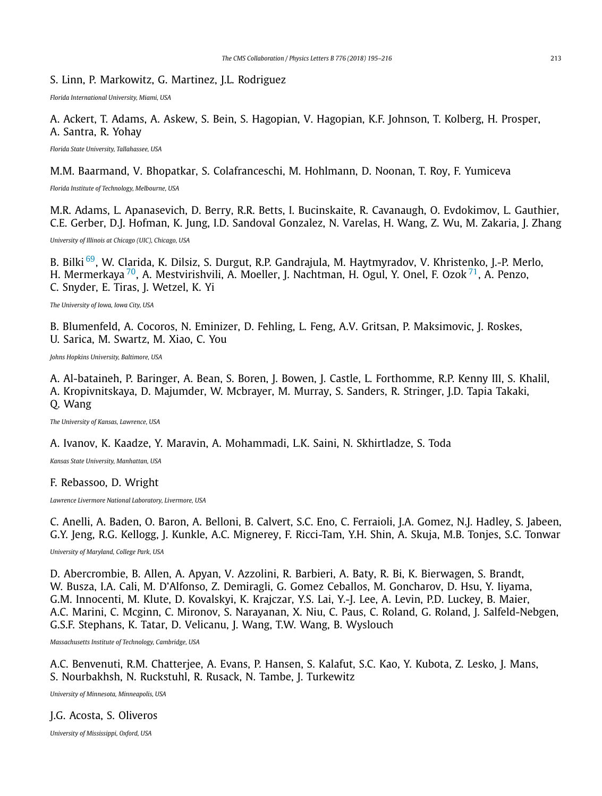#### S. Linn, P. Markowitz, G. Martinez, J.L. Rodriguez

*Florida International University, Miami, USA*

A. Ackert, T. Adams, A. Askew, S. Bein, S. Hagopian, V. Hagopian, K.F. Johnson, T. Kolberg, H. Prosper, A. Santra, R. Yohay

*Florida State University, Tallahassee, USA*

M.M. Baarmand, V. Bhopatkar, S. Colafranceschi, M. Hohlmann, D. Noonan, T. Roy, F. Yumiceva

*Florida Institute of Technology, Melbourne, USA*

M.R. Adams, L. Apanasevich, D. Berry, R.R. Betts, I. Bucinskaite, R. Cavanaugh, O. Evdokimov, L. Gauthier, C.E. Gerber, D.J. Hofman, K. Jung, I.D. Sandoval Gonzalez, N. Varelas, H. Wang, Z. Wu, M. Zakaria, J. Zhang

*University of Illinois at Chicago (UIC), Chicago, USA*

B. Bilki<sup>69</sup>, W. Clarida, K. Dilsiz, S. Durgut, R.P. Gandrajula, M. Haytmyradov, V. Khristenko, J.-P. Merlo, H. Mermerkaya [70,](#page-21-0) A. Mestvirishvili, A. Moeller, J. Nachtman, H. Ogul, Y. Onel, F. Ozok [71,](#page-21-0) A. Penzo, C. Snyder, E. Tiras, J. Wetzel, K. Yi

*The University of Iowa, Iowa City, USA*

B. Blumenfeld, A. Cocoros, N. Eminizer, D. Fehling, L. Feng, A.V. Gritsan, P. Maksimovic, J. Roskes, U. Sarica, M. Swartz, M. Xiao, C. You

*Johns Hopkins University, Baltimore, USA*

A. Al-bataineh, P. Baringer, A. Bean, S. Boren, J. Bowen, J. Castle, L. Forthomme, R.P. Kenny III, S. Khalil, A. Kropivnitskaya, D. Majumder, W. Mcbrayer, M. Murray, S. Sanders, R. Stringer, J.D. Tapia Takaki, Q. Wang

*The University of Kansas, Lawrence, USA*

A. Ivanov, K. Kaadze, Y. Maravin, A. Mohammadi, L.K. Saini, N. Skhirtladze, S. Toda

*Kansas State University, Manhattan, USA*

F. Rebassoo, D. Wright

*Lawrence Livermore National Laboratory, Livermore, USA*

C. Anelli, A. Baden, O. Baron, A. Belloni, B. Calvert, S.C. Eno, C. Ferraioli, J.A. Gomez, N.J. Hadley, S. Jabeen, G.Y. Jeng, R.G. Kellogg, J. Kunkle, A.C. Mignerey, F. Ricci-Tam, Y.H. Shin, A. Skuja, M.B. Tonjes, S.C. Tonwar

*University of Maryland, College Park, USA*

D. Abercrombie, B. Allen, A. Apyan, V. Azzolini, R. Barbieri, A. Baty, R. Bi, K. Bierwagen, S. Brandt, W. Busza, I.A. Cali, M. D'Alfonso, Z. Demiragli, G. Gomez Ceballos, M. Goncharov, D. Hsu, Y. Iiyama, G.M. Innocenti, M. Klute, D. Kovalskyi, K. Krajczar, Y.S. Lai, Y.-J. Lee, A. Levin, P.D. Luckey, B. Maier, A.C. Marini, C. Mcginn, C. Mironov, S. Narayanan, X. Niu, C. Paus, C. Roland, G. Roland, J. Salfeld-Nebgen, G.S.F. Stephans, K. Tatar, D. Velicanu, J. Wang, T.W. Wang, B. Wyslouch

*Massachusetts Institute of Technology, Cambridge, USA*

A.C. Benvenuti, R.M. Chatterjee, A. Evans, P. Hansen, S. Kalafut, S.C. Kao, Y. Kubota, Z. Lesko, J. Mans, S. Nourbakhsh, N. Ruckstuhl, R. Rusack, N. Tambe, J. Turkewitz

*University of Minnesota, Minneapolis, USA*

J.G. Acosta, S. Oliveros

*University of Mississippi, Oxford, USA*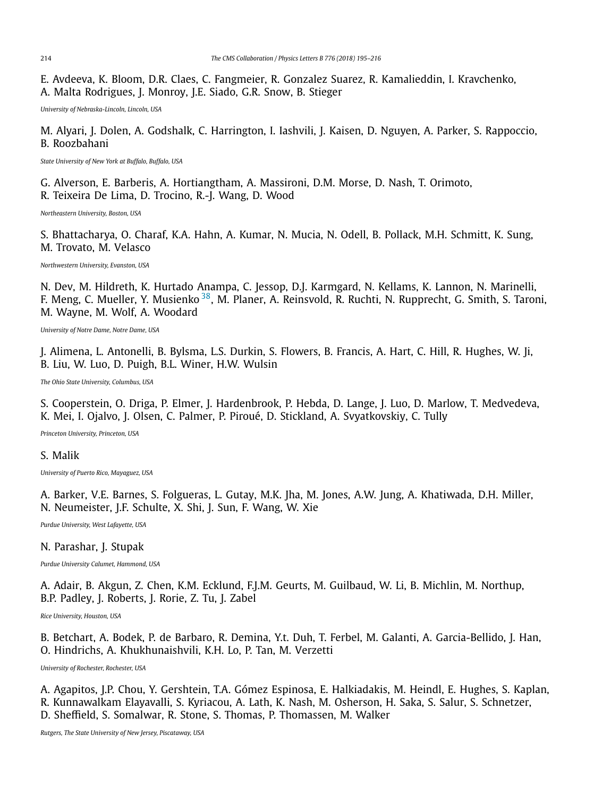E. Avdeeva, K. Bloom, D.R. Claes, C. Fangmeier, R. Gonzalez Suarez, R. Kamalieddin, I. Kravchenko, A. Malta Rodrigues, J. Monroy, J.E. Siado, G.R. Snow, B. Stieger

*University of Nebraska-Lincoln, Lincoln, USA*

M. Alyari, J. Dolen, A. Godshalk, C. Harrington, I. Iashvili, J. Kaisen, D. Nguyen, A. Parker, S. Rappoccio, B. Roozbahani

*State University of New York at Buffalo, Buffalo, USA*

G. Alverson, E. Barberis, A. Hortiangtham, A. Massironi, D.M. Morse, D. Nash, T. Orimoto, R. Teixeira De Lima, D. Trocino, R.-J. Wang, D. Wood

*Northeastern University, Boston, USA*

S. Bhattacharya, O. Charaf, K.A. Hahn, A. Kumar, N. Mucia, N. Odell, B. Pollack, M.H. Schmitt, K. Sung, M. Trovato, M. Velasco

*Northwestern University, Evanston, USA*

N. Dev, M. Hildreth, K. Hurtado Anampa, C. Jessop, D.J. Karmgard, N. Kellams, K. Lannon, N. Marinelli, F. Meng, C. Mueller, Y. Musienko<sup>38</sup>, M. Planer, A. Reinsvold, R. Ruchti, N. Rupprecht, G. Smith, S. Taroni, M. Wayne, M. Wolf, A. Woodard

*University of Notre Dame, Notre Dame, USA*

J. Alimena, L. Antonelli, B. Bylsma, L.S. Durkin, S. Flowers, B. Francis, A. Hart, C. Hill, R. Hughes, W. Ji, B. Liu, W. Luo, D. Puigh, B.L. Winer, H.W. Wulsin

*The Ohio State University, Columbus, USA*

S. Cooperstein, O. Driga, P. Elmer, J. Hardenbrook, P. Hebda, D. Lange, J. Luo, D. Marlow, T. Medvedeva, K. Mei, I. Ojalvo, J. Olsen, C. Palmer, P. Piroué, D. Stickland, A. Svyatkovskiy, C. Tully

*Princeton University, Princeton, USA*

S. Malik

*University of Puerto Rico, Mayaguez, USA*

A. Barker, V.E. Barnes, S. Folgueras, L. Gutay, M.K. Jha, M. Jones, A.W. Jung, A. Khatiwada, D.H. Miller, N. Neumeister, J.F. Schulte, X. Shi, J. Sun, F. Wang, W. Xie

*Purdue University, West Lafayette, USA*

## N. Parashar, J. Stupak

*Purdue University Calumet, Hammond, USA*

A. Adair, B. Akgun, Z. Chen, K.M. Ecklund, F.J.M. Geurts, M. Guilbaud, W. Li, B. Michlin, M. Northup, B.P. Padley, J. Roberts, J. Rorie, Z. Tu, J. Zabel

*Rice University, Houston, USA*

B. Betchart, A. Bodek, P. de Barbaro, R. Demina, Y.t. Duh, T. Ferbel, M. Galanti, A. Garcia-Bellido, J. Han, O. Hindrichs, A. Khukhunaishvili, K.H. Lo, P. Tan, M. Verzetti

*University of Rochester, Rochester, USA*

A. Agapitos, J.P. Chou, Y. Gershtein, T.A. Gómez Espinosa, E. Halkiadakis, M. Heindl, E. Hughes, S. Kaplan, R. Kunnawalkam Elayavalli, S. Kyriacou, A. Lath, K. Nash, M. Osherson, H. Saka, S. Salur, S. Schnetzer, D. Sheffield, S. Somalwar, R. Stone, S. Thomas, P. Thomassen, M. Walker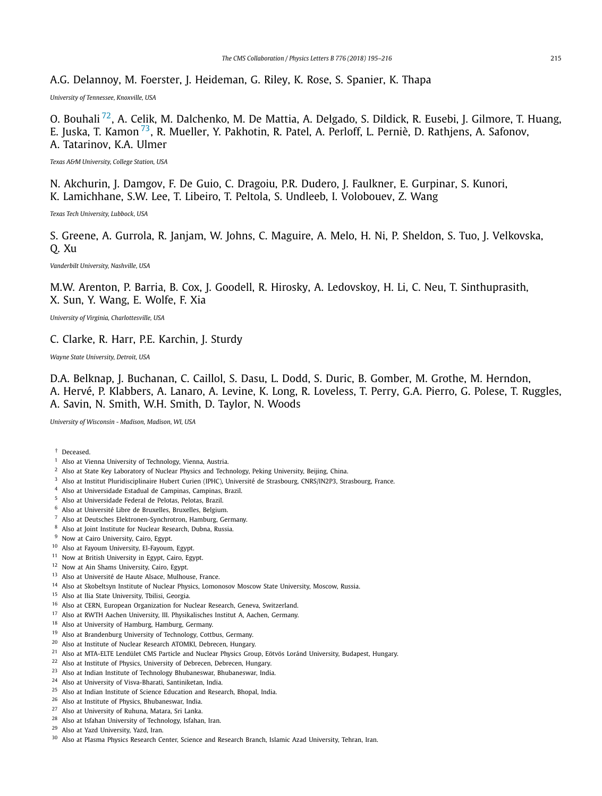## <span id="page-20-0"></span>A.G. Delannoy, M. Foerster, J. Heideman, G. Riley, K. Rose, S. Spanier, K. Thapa

*University of Tennessee, Knoxville, USA*

O. Bouhali [72,](#page-21-0) A. Celik, M. Dalchenko, M. De Mattia, A. Delgado, S. Dildick, R. Eusebi, J. Gilmore, T. Huang, E. Juska, T. Kamon [73,](#page-21-0) R. Mueller, Y. Pakhotin, R. Patel, A. Perloff, L. Perniè, D. Rathjens, A. Safonov, A. Tatarinov, K.A. Ulmer

*Texas A&M University, College Station, USA*

N. Akchurin, J. Damgov, F. De Guio, C. Dragoiu, P.R. Dudero, J. Faulkner, E. Gurpinar, S. Kunori, K. Lamichhane, S.W. Lee, T. Libeiro, T. Peltola, S. Undleeb, I. Volobouev, Z. Wang

*Texas Tech University, Lubbock, USA*

S. Greene, A. Gurrola, R. Janjam, W. Johns, C. Maguire, A. Melo, H. Ni, P. Sheldon, S. Tuo, J. Velkovska, Q. Xu

*Vanderbilt University, Nashville, USA*

M.W. Arenton, P. Barria, B. Cox, J. Goodell, R. Hirosky, A. Ledovskoy, H. Li, C. Neu, T. Sinthuprasith, X. Sun, Y. Wang, E. Wolfe, F. Xia

*University of Virginia, Charlottesville, USA*

## C. Clarke, R. Harr, P.E. Karchin, J. Sturdy

*Wayne State University, Detroit, USA*

D.A. Belknap, J. Buchanan, C. Caillol, S. Dasu, L. Dodd, S. Duric, B. Gomber, M. Grothe, M. Herndon, A. Hervé, P. Klabbers, A. Lanaro, A. Levine, K. Long, R. Loveless, T. Perry, G.A. Pierro, G. Polese, T. Ruggles, A. Savin, N. Smith, W.H. Smith, D. Taylor, N. Woods

*University of Wisconsin - Madison, Madison, WI, USA*

† Deceased.

- <sup>1</sup> Also at Vienna University of Technology, Vienna, Austria.
- <sup>2</sup> Also at State Key Laboratory of Nuclear Physics and Technology, Peking University, Beijing, China.
- <sup>3</sup> Also at Institut Pluridisciplinaire Hubert Curien (IPHC), Université de Strasbourg, CNRS/IN2P3, Strasbourg, France.
- <sup>4</sup> Also at Universidade Estadual de Campinas, Campinas, Brazil.
- <sup>5</sup> Also at Universidade Federal de Pelotas, Pelotas, Brazil.
- <sup>6</sup> Also at Université Libre de Bruxelles, Bruxelles, Belgium.
- <sup>7</sup> Also at Deutsches Elektronen-Synchrotron, Hamburg, Germany.
- <sup>8</sup> Also at Joint Institute for Nuclear Research, Dubna, Russia.
- <sup>9</sup> Now at Cairo University, Cairo, Egypt.
- <sup>10</sup> Also at Fayoum University, El-Fayoum, Egypt.
- <sup>11</sup> Now at British University in Egypt, Cairo, Egypt.
- <sup>12</sup> Now at Ain Shams University, Cairo, Egypt.
- $13$  Also at Université de Haute Alsace, Mulhouse, France.
- <sup>14</sup> Also at Skobeltsyn Institute of Nuclear Physics, Lomonosov Moscow State University, Moscow, Russia.
- <sup>15</sup> Also at Ilia State University, Tbilisi, Georgia.
- <sup>16</sup> Also at CERN, European Organization for Nuclear Research, Geneva, Switzerland.
- <sup>17</sup> Also at RWTH Aachen University, III. Physikalisches Institut A, Aachen, Germany.
- <sup>18</sup> Also at University of Hamburg, Hamburg, Germany.
- <sup>19</sup> Also at Brandenburg University of Technology, Cottbus, Germany.
- $20$  Also at Institute of Nuclear Research ATOMKI, Debrecen, Hungary.
- <sup>21</sup> Also at MTA-ELTE Lendület CMS Particle and Nuclear Physics Group, Eötvös Loránd University, Budapest, Hungary.
- <sup>22</sup> Also at Institute of Physics, University of Debrecen, Debrecen, Hungary.
- <sup>23</sup> Also at Indian Institute of Technology Bhubaneswar, Bhubaneswar, India.
- <sup>24</sup> Also at University of Visva-Bharati, Santiniketan, India.
- <sup>25</sup> Also at Indian Institute of Science Education and Research, Bhopal, India.
- <sup>26</sup> Also at Institute of Physics, Bhubaneswar, India.
- <sup>27</sup> Also at University of Ruhuna, Matara, Sri Lanka.
- <sup>28</sup> Also at Isfahan University of Technology, Isfahan, Iran.
- <sup>29</sup> Also at Yazd University, Yazd, Iran.
- <sup>30</sup> Also at Plasma Physics Research Center, Science and Research Branch, Islamic Azad University, Tehran, Iran.